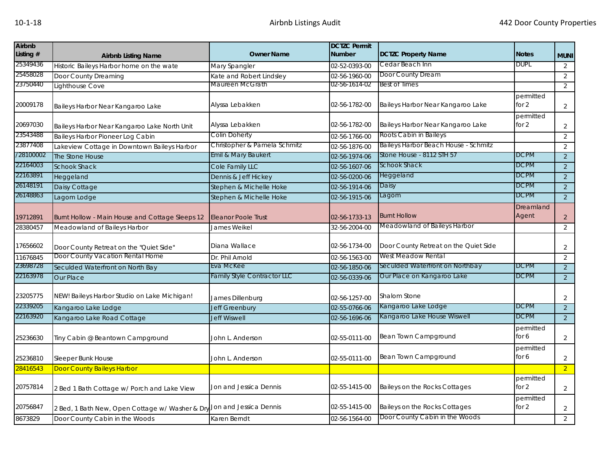| <b>Airbnb</b><br>Listing # | <b>Airbnb Listing Name</b>                      | <b>Owner Name</b>                  | <b>DCTZC Permit</b><br><b>Number</b> | <b>DCTZC Property Name</b>            | <b>Notes</b>         | <b>MUNI</b>    |
|----------------------------|-------------------------------------------------|------------------------------------|--------------------------------------|---------------------------------------|----------------------|----------------|
| 25349436                   | Historic Baileys Harbor home on the wate        | Mary Spangler                      | 02-52-0393-00                        | Cedar Beach Inn                       | <b>DUPL</b>          | $\overline{2}$ |
| 25458028                   | Door County Dreaming                            | Kate and Robert Lindsley           | 02-56-1960-00                        | Door County Dream                     |                      | $\overline{2}$ |
| 23750440                   | Lighthouse Cove                                 | Maureen McGrath                    | 02-56-1614-02                        | <b>Best of Times</b>                  |                      | 2              |
| 20009178                   | Baileys Harbor Near Kangaroo Lake               | Alyssa Lebakken                    | 02-56-1782-00                        | Baileys Harbor Near Kangaroo Lake     | permitted<br>for $2$ | $\overline{2}$ |
| 20697030                   | Baileys Harbor Near Kangaroo Lake North Unit    | Alyssa Lebakken                    | 02-56-1782-00                        | Baileys Harbor Near Kangaroo Lake     | permitted<br>for $2$ | $\overline{2}$ |
| 23543488                   | Baileys Harbor Pioneer Log Cabin                | Colin Doherty                      | 02-56-1766-00                        | Roots Cabin in Baileys                |                      | $\overline{2}$ |
| 23877408                   | Lakeview Cottage in Downtown Baileys Harbor     | Christopher & Pamela Schmitz       | 02-56-1876-00                        | Baileys Harbor Beach House - Schmitz  |                      | $\overline{2}$ |
| /28100002                  | The Stone House                                 | Emil & Mary Baukert                | 02-56-1974-06                        | Stone House - 8112 STH 57             | <b>DCPM</b>          | $\overline{2}$ |
| 22164003                   | <b>Schook Shack</b>                             | Cole Family LLC                    | 02-56-1607-06                        | Schook Shack                          | <b>DCPM</b>          | $\overline{2}$ |
| 22163891                   | Heggeland                                       | Dennis & Jeff Hickey               | 02-56-0200-06                        | Heggeland                             | <b>DCPM</b>          | $\overline{2}$ |
| 26148191                   | Daisy Cottage                                   | Stephen & Michelle Hoke            | 02-56-1914-06                        | Daisy                                 | <b>DCPM</b>          | $\overline{2}$ |
| 26148863                   | Lagom Lodge                                     | Stephen & Michelle Hoke            | 02-56-1915-06                        | Lagom                                 | DCPM                 | $\overline{2}$ |
| 19712891                   | Burnt Hollow - Main House and Cottage Sleeps 12 | <b>Eleanor Poole Trust</b>         | 02-56-1733-13                        | <b>Burnt Hollow</b>                   | Dreamland<br>Agent   | $\overline{2}$ |
| 28380457                   | Meadowland of Baileys Harbor                    | James Weikel                       | 32-56-2004-00                        | Meadowland of Baileys Harbor          |                      | $\overline{2}$ |
| 17656602                   | Door County Retreat on the "Quiet Side"         | Diana Wallace                      | 02-56-1734-00                        | Door County Retreat on the Quiet Side |                      | 2              |
| 11676845                   | Door County Vacation Rental Home                | Dr. Phil Arnold                    | 02-56-1563-00                        | West Meadow Rental                    |                      | 2              |
| 23698728                   | Seculded Waterfront on North Bay                | Eva McKee                          | 02-56-1850-06                        | Seculded Waterfront on Northbay       | <b>DCPM</b>          | $\overline{2}$ |
| 22163978                   | <b>Our Place</b>                                | <b>Family Style Contractor LLC</b> | 02-56-0339-06                        | Our Place on Kangaroo Lake            | <b>DCPM</b>          | $\overline{2}$ |
| 23205775                   | NEW! Baileys Harbor Studio on Lake Michigan!    | James Dillenburg                   | 02-56-1257-00                        | Shalom Stone                          |                      | 2              |
| 22339205                   | Kangaroo Lake Lodge                             | <b>Jeff Greenbury</b>              | 02-55-0766-06                        | Kangaroo Lake Lodge                   | <b>DCPM</b>          | $\overline{2}$ |
| 22163920                   | Kangaroo Lake Road Cottage                      | <b>Jeff Wiswell</b>                | 02-56-1696-06                        | Kangaroo Lake House Wiswell           | DCPM                 | $\overline{2}$ |
| 25236630                   | Tiny Cabin @ Beantown Campground                | John L. Anderson                   | 02-55-0111-00                        | Bean Town Campground                  | permitted<br>for 6   | $\overline{2}$ |
| 25236810                   | Sleeper Bunk House                              | John L. Anderson                   | 02-55-0111-00                        | <b>Bean Town Campground</b>           | permitted<br>for 6   | $\overline{2}$ |
| 28416543                   | <b>Door County Baileys Harbor</b>               |                                    |                                      |                                       |                      | $\overline{2}$ |
| 20757814                   | 2 Bed 1 Bath Cottage w/ Porch and Lake View     | Jon and Jessica Dennis             | 02-55-1415-00                        | Baileys on the Rocks Cottages         | permitted<br>for $2$ | $\overline{2}$ |
| 20756847                   | 2 Bed, 1 Bath New, Open Cottage w/ Washer & Dry | Jon and Jessica Dennis             | 02-55-1415-00                        | Baileys on the Rocks Cottages         | permitted<br>for $2$ | $\overline{2}$ |
| 8673829                    | Door County Cabin in the Woods                  | Karen Berndt                       | 02-56-1564-00                        | Door County Cabin in the Woods        |                      | $\overline{2}$ |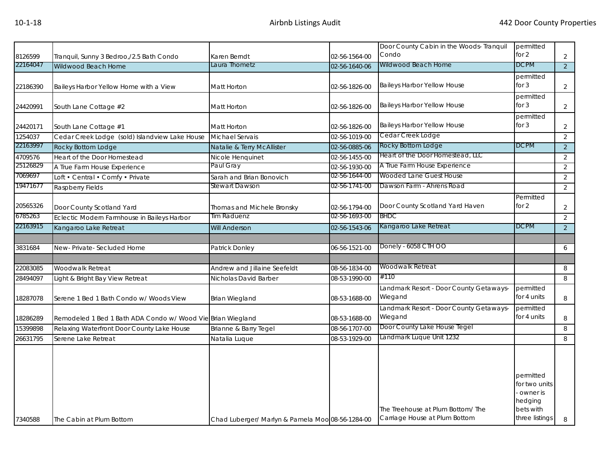|          |                                                             |                                                  |               | Door County Cabin in the Woods- Tranquil | permitted            |                |
|----------|-------------------------------------------------------------|--------------------------------------------------|---------------|------------------------------------------|----------------------|----------------|
| 8126599  | Tranquil, Sunny 3 Bedroo,/2.5 Bath Condo                    | Karen Berndt                                     | 02-56-1564-00 | Condo                                    | for $2$              | $\overline{a}$ |
| 22164047 | Wildwood Beach Home                                         | Laura Thometz                                    | 02-56-1640-06 | Wildwood Beach Home                      | <b>DCPM</b>          | $\overline{2}$ |
|          |                                                             |                                                  |               |                                          | permitted            |                |
| 22186390 | Baileys Harbor Yellow Home with a View                      | Matt Horton                                      | 02-56-1826-00 | <b>Baileys Harbor Yellow House</b>       | for $3$              | $\overline{a}$ |
|          |                                                             |                                                  |               |                                          | permitted            |                |
| 24420991 | South Lane Cottage #2                                       | Matt Horton                                      | 02-56-1826-00 | Baileys Harbor Yellow House              | for $3$              | $\overline{a}$ |
|          |                                                             |                                                  |               |                                          | permitted<br>for $3$ |                |
| 24420171 | South Lane Cottage #1                                       | Matt Horton                                      | 02-56-1826-00 | <b>Baileys Harbor Yellow House</b>       |                      | $\overline{a}$ |
| 1254037  | Cedar Creek Lodge (sold) Islandview Lake House              | <b>Michael Servais</b>                           | 02-56-1019-00 | Cedar Creek Lodge                        |                      | $\overline{2}$ |
| 22163997 | Rocky Bottom Lodge                                          | Natalie & Terry McAllister                       | 02-56-0885-06 | Rocky Bottom Lodge                       | <b>DCPM</b>          | $\overline{2}$ |
| 4709576  | Heart of the Door Homestead                                 | Nicole Henquinet                                 | 02-56-1455-00 | Heart of the Door Homestead, LLC         |                      | $\overline{2}$ |
| 25126829 | A True Farm House Experience                                | Paul Gray                                        | 02-56-1930-00 | A True Farm House Experience             |                      | $\overline{a}$ |
| 7069697  | Loft • Central • Comfy • Private                            | Sarah and Brian Bonovich                         | 02-56-1644-00 | Wooded Lane Guest House                  |                      | $\overline{2}$ |
| 19471677 | Raspberry Fields                                            | Stewart Dawson                                   | 02-56-1741-00 | Dawson Farm - Ahrens Road                |                      | $\overline{2}$ |
|          |                                                             |                                                  |               |                                          | Permitted            |                |
| 20565326 | Door County Scotland Yard                                   | Thomas and Michele Bronsky                       | 02-56-1794-00 | Door County Scotland Yard Haven          | for $2$              | $\overline{2}$ |
| 6785263  | Eclectic Modern Farmhouse in Baileys Harbor                 | Tim Raduenz                                      | 02-56-1693-00 | <b>BHDC</b>                              |                      | $\overline{2}$ |
| 22163915 | Kangaroo Lake Retreat                                       | <b>Will Anderson</b>                             | 02-56-1543-06 | Kangaroo Lake Retreat                    | <b>DCPM</b>          | $\overline{2}$ |
|          |                                                             |                                                  |               |                                          |                      |                |
| 3831684  | New-Private-Secluded Home                                   | Patrick Donley                                   | 06-56-1521-00 | Donely - 6058 CTH OO                     |                      | 6              |
|          |                                                             |                                                  |               |                                          |                      |                |
| 22083085 | Woodwalk Retreat                                            | Andrew and Jillaine Seefeldt                     | 08-56-1834-00 | Woodwalk Retreat                         |                      | 8              |
| 28494097 | Light & Bright Bay View Retreat                             | Nicholas David Barber                            | 08-53-1990-00 | #110                                     |                      | 8              |
|          |                                                             |                                                  |               | Landmark Resort - Door County Getaways-  | permitted            |                |
| 18287078 | Serene 1 Bed 1 Bath Condo w/ Woods View                     | Brian Wiegland                                   | 08-53-1688-00 | Wiegand                                  | for 4 units          | 8              |
|          |                                                             |                                                  |               | Landmark Resort - Door County Getaways-  | permitted            |                |
| 18286289 | Remodeled 1 Bed 1 Bath ADA Condo w/ Wood Vie Brian Wiegland |                                                  | 08-53-1688-00 | Wiegand                                  | for 4 units          | 8              |
| 15399898 | Relaxing Waterfront Door County Lake House                  | Brianne & Barry Tegel                            | 08-56-1707-00 | Door County Lake House Tegel             |                      | 8              |
| 26631795 | Serene Lake Retreat                                         | Natalia Luque                                    | 08-53-1929-00 | Landmark Luque Unit 1232                 |                      | 8              |
|          |                                                             |                                                  |               |                                          |                      |                |
|          |                                                             |                                                  |               |                                          |                      |                |
|          |                                                             |                                                  |               |                                          |                      |                |
|          |                                                             |                                                  |               |                                          | permitted            |                |
|          |                                                             |                                                  |               |                                          | for two units        |                |
|          |                                                             |                                                  |               |                                          | owner is             |                |
|          |                                                             |                                                  |               | The Treehouse at Plum Bottom/The         | hedging<br>bets with |                |
|          |                                                             |                                                  |               | Carriage House at Plum Bottom            | three listings       |                |
| 7340588  | The Cabin at Plum Bottom                                    | Chad Luberger/ Marlyn & Pamela Moo 08-56-1284-00 |               |                                          |                      | 8              |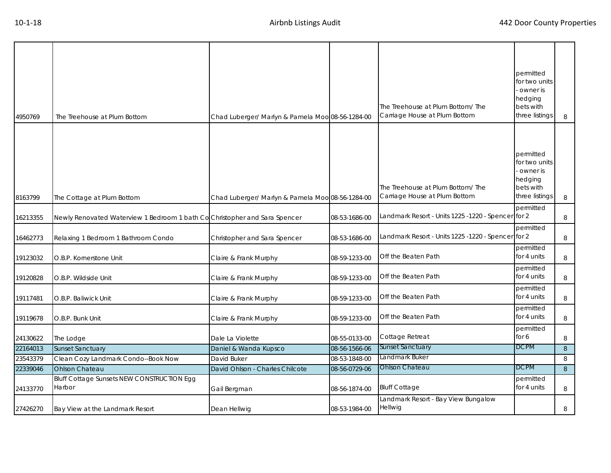| 4950769  | The Treehouse at Plum Bottom                                               | Chad Luberger/ Marlyn & Pamela Moo 08-56-1284-00 |               | The Treehouse at Plum Bottom/The<br>Carriage House at Plum Bottom  | permitted<br>for two units<br>owner is<br>hedging<br>bets with<br>three listings | 8 |
|----------|----------------------------------------------------------------------------|--------------------------------------------------|---------------|--------------------------------------------------------------------|----------------------------------------------------------------------------------|---|
|          |                                                                            |                                                  |               |                                                                    |                                                                                  |   |
| 8163799  | The Cottage at Plum Bottom                                                 | Chad Luberger/ Marlyn & Pamela Moo 08-56-1284-00 |               | The Treehouse at Plum Bottom/ The<br>Carriage House at Plum Bottom | permitted<br>for two units<br>owner is<br>hedging<br>bets with<br>three listings | 8 |
| 16213355 | Newly Renovated Waterview 1 Bedroom 1 bath Co Christopher and Sara Spencer |                                                  | 08-53-1686-00 | Landmark Resort - Units 1225 -1220 - Spencer for 2                 | permitted                                                                        | 8 |
| 16462773 | Relaxing 1 Bedroom 1 Bathroom Condo                                        | Christopher and Sara Spencer                     | 08-53-1686-00 | Landmark Resort - Units 1225 -1220 - Spencer for 2                 | permitted                                                                        | 8 |
| 19123032 | O.B.P. Kornerstone Unit                                                    | Claire & Frank Murphy                            | 08-59-1233-00 | Off the Beaten Path                                                | permitted<br>for 4 units                                                         | 8 |
| 19120828 | O.B.P. Wildside Unit                                                       | Claire & Frank Murphy                            | 08-59-1233-00 | Off the Beaten Path                                                | permitted<br>for 4 units                                                         | 8 |
| 19117481 | O.B.P. Baliwick Unit                                                       | Claire & Frank Murphy                            | 08-59-1233-00 | Off the Beaten Path                                                | permitted<br>for 4 units                                                         | 8 |
| 19119678 | O.B.P. Bunk Unit                                                           | Claire & Frank Murphy                            | 08-59-1233-00 | Off the Beaten Path                                                | permitted<br>for 4 units                                                         | 8 |
| 24130622 | The Lodge                                                                  | Dale La Violette                                 | 08-55-0133-00 | Cottage Retreat                                                    | permitted<br>for 6                                                               | 8 |
| 22164013 | <b>Sunset Sanctuary</b>                                                    | Daniel & Wanda Kupsco                            | 08-56-1566-06 | Sunset Sanctuary                                                   | <b>DCPM</b>                                                                      | 8 |
| 23543379 | Clean Cozy Landmark Condo--Book Now                                        | David Buker                                      | 08-53-1848-00 | andmark Buker                                                      |                                                                                  | 8 |
| 22339046 | <b>Ohlson Chateau</b>                                                      | David Ohlson - Charles Chilcote                  | 08-56-0729-06 | Ohlson Chateau                                                     | <b>DCPM</b>                                                                      | 8 |
| 24133770 | <b>Bluff Cottage Sunsets NEW CONSTRUCTION Egg</b><br>Harbor                | Gail Bergman                                     | 08-56-1874-00 | <b>Bluff Cottage</b>                                               | permitted<br>for 4 units                                                         | 8 |
| 27426270 | Bay View at the Landmark Resort                                            | Dean Hellwig                                     | 08-53-1984-00 | Landmark Resort - Bay View Bungalow<br>Hellwig                     |                                                                                  | 8 |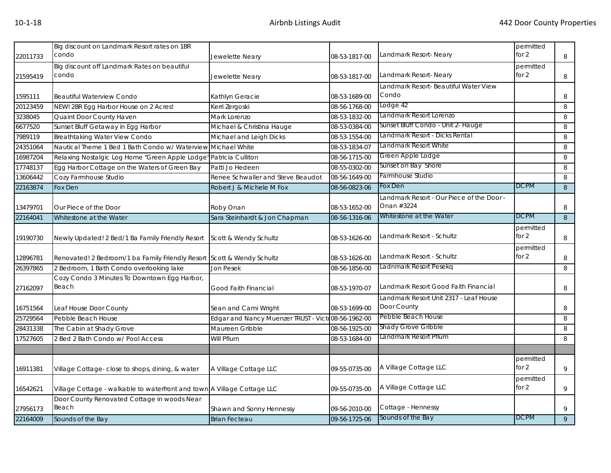| 22011733 | Big discount on Landmark Resort rates on 1BR<br>condo                   | Jewelette Neary                                    | 08-53-1817-00 | Landmark Resort- Neary                                | permitted<br>for $2$ | 8              |
|----------|-------------------------------------------------------------------------|----------------------------------------------------|---------------|-------------------------------------------------------|----------------------|----------------|
| 21595419 | Big discount off Landmark Rates on beautiful<br>condo                   | Jewelette Neary                                    | 08-53-1817-00 | Landmark Resort- Neary                                | permitted<br>for 2   | 8              |
| 1595111  | <b>Beautiful Waterview Condo</b>                                        | Kathlyn Geracie                                    | 08-53-1689-00 | Landmark Resort- Beautiful Water View<br>Condo        |                      | 8              |
| 20123459 | NEW! 2BR Egg Harbor House on 2 Acres!                                   | Kerri Zergoski                                     | 08-56-1768-00 | Lodge 42                                              |                      | 8              |
| 3238045  | Quaint Door County Haven                                                | Mark Lorenzo                                       | 08-53-1832-00 | Landmark Resort Lorenzo                               |                      | 8              |
| 6677520  | Sunset Bluff Getaway in Egg Harbor                                      | Michael & Christina Hauge                          | 08-53-0384-00 | Sunset Bluff Condo - Unit 2- Hauge                    |                      | 8              |
| 7989119  | <b>Breathtaking Water View Condo</b>                                    | Michael and Leigh Dicks                            | 08-53-1554-00 | andmark Resort - Dicks Rental                         |                      | 8              |
| 24351064 | Nautical Theme 1 Bed 1 Bath Condo w/ Waterview Michael White            |                                                    | 08-53-1834-07 | andmark Resort White                                  |                      | 8              |
| 16987204 | Relaxing Nostalgic Log Home "Green Apple Lodge" Patricia Culliton       |                                                    | 08-56-1715-00 | Green Apple Lodge                                     |                      | 8              |
| 17748137 | Egg Harbor Cottage on the Waters of Green Bay                           | Patti Jo Hedeen                                    | 08-55-0302-00 | Sunset on Bay Shore                                   |                      | 8              |
| 13606442 | Cozy Farmhouse Studio                                                   | Renee Schwaller and Steve Beaudot                  | 08-56-1649-00 | Farmhouse Studio                                      |                      | 8              |
| 22163874 | Fox Den                                                                 | Robert J & Michele M Fox                           | 08-56-0823-06 | Fox Den                                               | <b>DCPM</b>          | $\mathbf{8}$   |
|          |                                                                         |                                                    |               | -andmark Resort - Our Piece of the Door -             |                      |                |
| 13479701 | Our Piece of the Door                                                   | Roby Onan                                          | 08-53-1652-00 | Onan #3224                                            |                      | 8              |
| 22164041 | Whitestone at the Water                                                 | Sara Steinhardt & Jon Chapman                      | 08-56-1316-06 | Whitestone at the Water                               | <b>DCPM</b>          | 8 <sup>°</sup> |
|          |                                                                         |                                                    |               |                                                       | permitted            |                |
| 19190730 | Newly Updated! 2 Bed/1 Ba Family Friendly Resort                        | Scott & Wendy Schultz                              | 08-53-1626-00 | Landmark Resort - Schultz                             | for 2                | 8              |
| 12896781 | Renovated! 2 Bedroom/1 ba Family Friendly Resort Scott & Wendy Schultz  |                                                    | 08-53-1626-00 | Landmark Resort - Schultz                             | permitted<br>for $2$ | 8              |
| 26397865 | 2 Bedroom, 1 Bath Condo overlooking lake                                | <b>Jon Pesek</b>                                   | 08-56-1856-00 | adnmark Resort Pesekg                                 |                      | 8              |
| 27162097 | Cozy Condo 3 Minutes To Downtown Egg Harbor,<br>Beach                   | Good Faith Financial                               | 08-53-1970-07 | Landmark Resort Good Faith Financial                  |                      | 8              |
| 16751564 | Leaf House Door County                                                  | Sean and Cami Wright                               | 08-53-1699-00 | Landmark Resort Unit 2317 - Leaf House<br>Door County |                      | 8              |
| 25729564 | Pebble Beach House                                                      | Edgar and Nancy Muenzer TRUST - Victo08-56-1962-00 |               | Pebble Beach House                                    |                      | 8              |
| 28431338 | The Cabin at Shady Grove                                                | Maureen Gribble                                    | 08-56-1925-00 | Shady Grove Gribble                                   |                      | 8              |
| 17527605 | 2 Bed 2 Bath Condo w/ Pool Access                                       | Will Pflum                                         | 08-53-1684-00 | andmark Resort Pflum.                                 |                      | 8              |
|          |                                                                         |                                                    |               |                                                       |                      |                |
| 16911381 | Village Cottage- close to shops, dining, & water                        | A Village Cottage LLC                              | 09-55-0735-00 | A Village Cottage LLC                                 | permitted<br>for $2$ | 9              |
| 16542621 | Village Cottage - walkable to waterfront and town A Village Cottage LLC |                                                    | 09-55-0735-00 | A Village Cottage LLC                                 | permitted<br>for $2$ | 9              |
| 27956173 | Door County Renovated Cottage in woods Near<br>Beach                    | Shawn and Sonny Hennessy                           | 09-56-2010-00 | Cottage - Hennessy                                    |                      | 9              |
| 22164009 | Sounds of the Bay                                                       | <b>Brian Fecteau</b>                               | 09-56-1725-06 | Sounds of the Bay                                     | <b>DCPM</b>          | 9              |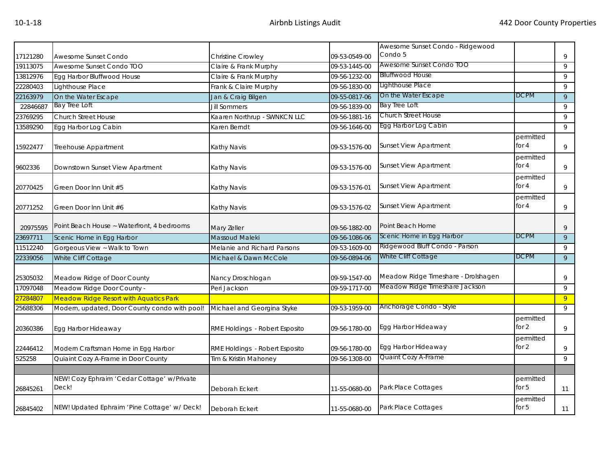|          |                                                      |                                |               | Awesome Sunset Condo - Ridgewood    |                      |    |
|----------|------------------------------------------------------|--------------------------------|---------------|-------------------------------------|----------------------|----|
| 17121280 | Awesome Sunset Condo                                 | <b>Christine Crowley</b>       | 09-53-0549-00 | Condo 5                             |                      | 9  |
| 19113075 | Awesome Sunset Condo TOO                             | Claire & Frank Murphy          | 09-53-1445-00 | Awesome Sunset Condo TOO            |                      | 9  |
| 13812976 | Egg Harbor Bluffwood House                           | Claire & Frank Murphy          | 09-56-1232-00 | <b>Blluffwood House</b>             |                      | 9  |
| 22280403 | Lighthouse Place                                     | Frank & Claire Murphy          | 09-56-1830-00 | Lighthouse Place                    |                      | 9  |
| 22163979 | On the Water Escape                                  | Jan & Craig Bilgen             | 09-55-0817-06 | On the Water Escape                 | <b>DCPM</b>          | 9  |
| 22846687 | <b>Bay Tree Loft</b>                                 | <b>Jill Sommers</b>            | 09-56-1839-00 | <b>Bay Tree Loft</b>                |                      | 9  |
| 23769295 | <b>Church Street House</b>                           | Kaaren Northrup - SWNKCN LLC   | 09-56-1881-16 | Church Street House                 |                      | 9  |
| 13589290 | Egg Harbor Log Cabin                                 | Karen Berndt                   | 09-56-1646-00 | Egg Harbor Log Cabin                |                      | 9  |
| 15922477 | Treehouse Appartment                                 | Kathy Navis                    | 09-53-1576-00 | <b>Sunset View Apartment</b>        | permitted<br>for 4   | 9  |
| 9602336  | Downstown Sunset View Apartment                      | Kathy Navis                    | 09-53-1576-00 | <b>Sunset View Apartment</b>        | permitted<br>for 4   | 9  |
| 20770425 | Green Door Inn Unit #5                               | Kathy Navis                    | 09-53-1576-01 | <b>Sunset View Apartment</b>        | permitted<br>for 4   | 9  |
| 20771252 | Green Door Inn Unit #6                               | Kathy Navis                    | 09-53-1576-02 | <b>Sunset View Apartment</b>        | permitted<br>for 4   | 9  |
| 20975595 | Point Beach House ~ Waterfront, 4 bedrooms           | Mary Zeller                    | 09-56-1882-00 | Point Beach Home                    |                      | 9  |
| 23697711 | Scenic Home in Egg Harbor                            | <b>Massoud Maleki</b>          | 09-56-1086-06 | Scenic Home in Egg Harbor           | <b>DCPM</b>          | 9  |
| 11512240 | Gorgeous View ~ Walk to Town                         | Melanie and Richard Parsons    | 09-53-1609-00 | Ridgewood Bluff Condo - Parson      |                      | 9  |
| 22339056 | White Cliff Cottage                                  | Michael & Dawn McCole          | 09-56-0894-06 | White Cliff Cottage                 | <b>DCPM</b>          | 9  |
| 25305032 | Meadow Ridge of Door County                          | Nancy Droschlogan              | 09-59-1547-00 | Meadow Ridge Timeshare - Drolshagen |                      | 9  |
| 17097048 | Meadow Ridge Door County -                           | Peri Jackson                   | 09-59-1717-00 | Meadow Ridge Timeshare Jackson      |                      | 9  |
| 27284807 | <b>Meadow Ridge Resort with Aquatics Park</b>        |                                |               |                                     |                      | 9  |
| 25688306 | Modern, updated, Door County condo with pool!        | Michael and Georgina Styke     | 09-53-1959-00 | Anchorage Condo - Style             |                      | 9  |
| 20360386 | Egg Harbor Hideaway                                  | RME Holdings - Robert Esposito | 09-56-1780-00 | Egg Harbor Hideaway                 | permitted<br>for 2   | 9  |
| 22446412 | Modern Craftsman Home in Egg Harbor                  | RME Holdings - Robert Esposito | 09-56-1780-00 | Egg Harbor Hideaway                 | permitted<br>for 2   | 9  |
| 525258   | Quiaint Cozy A-Frame in Door County                  | Tim & Kristin Mahoney          | 09-56-1308-00 | Quaint Cozy A-Frame                 |                      | 9  |
|          |                                                      |                                |               |                                     |                      |    |
| 26845261 | NEW! Cozy Ephraim 'Cedar Cottage' w/Private<br>Deck! | Deborah Eckert                 | 11-55-0680-00 | Park Place Cottages                 | permitted<br>for $5$ | 11 |
| 26845402 | NEW! Updated Ephraim 'Pine Cottage' w/ Deck!         | Deborah Eckert                 | 11-55-0680-00 | Park Place Cottages                 | permitted<br>for $5$ | 11 |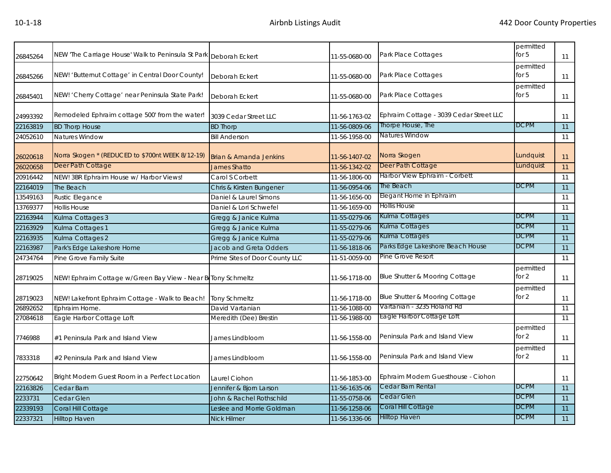| 26845264 | NEW 'The Carriage House' Walk to Peninsula St Park Deborah Eckert |                                   | 11-55-0680-00 | Park Place Cottages                     | permitted<br>for $5$ | 11 |
|----------|-------------------------------------------------------------------|-----------------------------------|---------------|-----------------------------------------|----------------------|----|
| 26845266 | NEW! 'Butternut Cottage' in Central Door County!                  | <b>Deborah Eckert</b>             | 11-55-0680-00 | Park Place Cottages                     | permitted<br>for $5$ | 11 |
| 26845401 | NEW! 'Cherry Cottage' near Peninsula State Park!                  | Deborah Eckert                    | 11-55-0680-00 | Park Place Cottages                     | permitted<br>for $5$ | 11 |
| 24993392 | Remodeled Ephraim cottage 500' from the water!                    | 3039 Cedar Street LLC             | 11-56-1763-02 | Ephraim Cottage - 3039 Cedar Street LLC |                      | 11 |
| 22163819 | <b>BD Thorp House</b>                                             | <b>BD Thorp</b>                   | 11-56-0809-06 | Thorpe House, The                       | <b>DCPM</b>          | 11 |
| 24052610 | Natures Window                                                    | <b>Bill Anderson</b>              | 11-56-1958-00 | Natures Window                          |                      | 11 |
| 26020618 | Norra Skogen * (REDUCED to \$700nt WEEK 8/12-19)                  | <b>Brian &amp; Amanda Jenkins</b> | 11-56-1407-02 | Norra Skogen                            | Lundquist            | 11 |
| 26020658 | Deer Path Cottage                                                 | <b>James Shatto</b>               | 11-56-1342-02 | Deer Path Cottage                       | Lundquist            | 11 |
| 20916442 | NEW! 3BR Ephraim House w/ Harbor Views!                           | Carol S Corbett                   | 11-56-1806-00 | Harbor View Ephraim - Corbett           |                      | 11 |
| 22164019 | The Beach                                                         | Chris & Kirsten Bungener          | 11-56-0954-06 | The Beach                               | <b>DCPM</b>          | 11 |
| 13549163 | Rustic Elegance                                                   | Daniel & Laurel Simons            | 11-56-1656-00 | Elegant Home in Ephraim                 |                      | 11 |
| 13769377 | <b>Hollis House</b>                                               | Daniel & Lori Schwefel            | 11-56-1659-00 | <b>Hollis House</b>                     |                      | 11 |
| 22163944 | Kulma Cottages 3                                                  | Gregg & Janice Kulma              | 11-55-0279-06 | Kulma Cottages                          | <b>DCPM</b>          | 11 |
| 22163929 | Kulma Cottages 1                                                  | Gregg & Janice Kulma              | 11-55-0279-06 | Kulma Cottages                          | <b>DCPM</b>          | 11 |
| 22163935 | Kulma Cottages 2                                                  | Gregg & Janice Kulma              | 11-55-0279-06 | Kulma Cottages                          | <b>DCPM</b>          | 11 |
| 22163987 | Park's Edge Lakeshore Home                                        | Jacob and Greta Odders            | 11-56-1818-06 | Parks Edge Lakeshore Beach House        | <b>DCPM</b>          | 11 |
| 24734764 | Pine Grove Family Suite                                           | Prime Sites of Door County LLC    | 11-51-0059-00 | Pine Grove Resort                       |                      | 11 |
| 28719025 | NEW! Ephraim Cottage w/Green Bay View - Near BeTony Schmeltz      |                                   | 11-56-1718-00 | Blue Shutter & Mooring Cottage          | permitted<br>for 2   | 11 |
| 28719023 | NEW! Lakefront Ephraim Cottage - Walk to Beach!                   | <b>Tony Schmeltz</b>              | 11-56-1718-00 | Blue Shutter & Mooring Cottage          | permitted<br>for 2   | 11 |
| 26892652 | Ephraim Home.                                                     | David Vartanian                   | 11-56-1088-00 | Vartanian - 3235 Holand Rd              |                      | 11 |
| 27084618 | Eagle Harbor Cottage Loft                                         | Meredith (Dee) Brestin            | 11-56-1988-00 | <b>Lagle Harbor Cottage Loft</b>        |                      | 11 |
| 7746988  | #1 Peninsula Park and Island View                                 | James Lindbloom                   | 11-56-1558-00 | Peninsula Park and Island View          | permitted<br>for $2$ | 11 |
| 7833318  | #2 Peninsula Park and Island View                                 | James Lindbloom                   | 11-56-1558-00 | Peninsula Park and Island View          | permitted<br>for 2   | 11 |
| 22750642 | Bright Modern Guest Room in a Perfect Location                    | Laurel Ciohon                     | 11-56-1853-00 | Ephraim Modern Guesthouse - Ciohon      |                      | 11 |
| 22163826 | Cedar Barn                                                        | Jennifer & Bjorn Larson           | 11-56-1635-06 | Cedar Barn Rental                       | <b>DCPM</b>          | 11 |
| 2233731  | Cedar Glen                                                        | John & Rachel Rothschild          | 11-55-0758-06 | Cedar Glen                              | <b>DCPM</b>          | 11 |
| 22339193 | Coral Hill Cottage                                                | Leslee and Morrie Goldman         | 11-56-1258-06 | Coral Hill Cottage                      | <b>DCPM</b>          | 11 |
| 22337321 | <b>Hilltop Haven</b>                                              | <b>Nick Hilmer</b>                | 11-56-1336-06 | <b>Hilltop Haven</b>                    | <b>DCPM</b>          | 11 |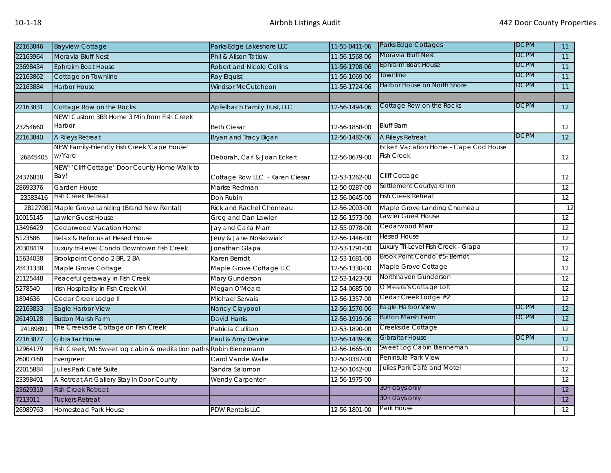| 22163846 | <b>Bayview Cottage</b>                                             | Parks Edge Lakeshore LLC         | 11-55-0411-06 | Parks Edge Cottages                   | <b>DCPM</b> | 11 |
|----------|--------------------------------------------------------------------|----------------------------------|---------------|---------------------------------------|-------------|----|
| 22163964 | Moravia Bluff Nest                                                 | Phil & Alison Tatlow             | 11-56-1568-06 | Moravia Bluff Nest                    | <b>DCPM</b> | 11 |
| 23698434 | <b>Ephraim Boat House</b>                                          | <b>Robert and Nicole Collins</b> | 11-56-1708-06 | <b>Ephraim Boat House</b>             | <b>DCPM</b> | 11 |
| 22163862 | Cottage on Townline                                                | Roy Elquist                      | 11-56-1069-06 | Townline                              | <b>DCPM</b> | 11 |
| 22163884 | <b>Harbor House</b>                                                | Windsor McCutcheon               | 11-56-1724-06 | Harbor House on North Shore           | <b>DCPM</b> | 11 |
|          |                                                                    |                                  |               |                                       |             |    |
| 22163831 | Cottage Row on the Rocks                                           | Apfelbach Family Trust, LLC      | 12-56-1494-06 | Cottage Row on the Rocks              | <b>DCPM</b> | 12 |
|          | NEW! Custom 3BR Home 3 Min from Fish Creek                         |                                  |               |                                       |             |    |
| 23254660 | Harbor                                                             | <b>Beth Ciesar</b>               | 12-56-1858-00 | <b>Bluff Barn</b>                     |             | 12 |
| 22163840 | A Rileys Retreat                                                   | Bryan and Tracy Bigari           | 12-56-1482-06 | A Rileys Retreat                      | <b>DCPM</b> | 12 |
|          | NEW Family-Friendly Fish Creek 'Cape House'                        |                                  |               | Eckert Vacation Home - Cape Cod House |             |    |
| 26845405 | w/Yard                                                             | Deborah, Carl & Joan Eckert      | 12-56-0679-00 | <b>Fish Creek</b>                     |             | 12 |
|          | NEW! 'Cliff Cottage' Door County Home-Walk to                      |                                  |               |                                       |             |    |
| 24376818 | Bay!                                                               | Cottage Row LLC - Karen Ciesar   | 12-53-1262-00 | Cliff Cottage                         |             | 12 |
| 28693376 | Garden House                                                       | Marise Redman                    | 12-50-0287-00 | Settlement Courtyard Inn              |             | 12 |
| 23583416 | <b>Fish Creek Retreat</b>                                          | Don Rubin                        | 12-56-0645-00 | <b>Fish Creek Retreat</b>             |             | 12 |
| 28127081 | Maple Grove Landing (Brand New Rental)                             | Rick and Rachel Chomeau          | 12-56-2003-00 | Maple Grove Landing Chomeau           |             | 12 |
| 10015145 | Lawler Guest House                                                 | Greg and Dan Lawler              | 12-56-1573-00 | awler Guest House                     |             | 12 |
| 13496429 | Cedarwood Vacation Home                                            | Jay and Carla Marr               | 12-55-0778-00 | Cedarwood Marr                        |             | 12 |
| 5123586  | Relax & Refocus at Hesed House                                     | Jerry & Jane Noskowiak           | 12-56-1446-00 | Hesed House                           |             | 12 |
| 20308419 | Luxury tri-Level Condo Downtown Fish Creek                         | Jonathan Glapa                   | 12-53-1791-00 | Luxury Tri-Level Fish Creek - Glapa   |             | 12 |
| 15634038 | Brookpoint Condo 2 BR, 2 BA                                        | Karen Berndt                     | 12-53-1681-00 | Brook Point Condo #5- Berndt          |             | 12 |
| 28431338 | Maple Grove Cottage                                                | Maple Grove Cottage LLC          | 12-56-1330-00 | Maple Grove Cottage                   |             | 12 |
| 21125448 | Peaceful getaway in Fish Creek                                     | Mary Gunderson                   | 12-53-1423-00 | Northhaven Gunderson                  |             | 12 |
| 5278540  | Irish Hospitality in Fish Creek WI                                 | Megan O'Meara                    | 12-54-0685-00 | O'Meara's Cottage Loft                |             | 12 |
| 1894636  | Cedar Creek Lodge II                                               | Michael Servais                  | 12-56-1357-00 | Cedar Creek Lodge #2                  |             | 12 |
| 22163833 | Eagle Harbor View                                                  | Nancy Claypool                   | 12-56-1570-06 | Eagle Harbor View                     | <b>DCPM</b> | 12 |
| 26149128 | <b>Button Marsh Farm</b>                                           | David Harris                     | 12-56-1919-06 | <b>Button Marsh Farm</b>              | <b>DCPM</b> | 12 |
| 24189891 | The Creekside Cottage on Fish Creek                                | Patricia Culliton                | 12-53-1890-00 | Creekside Cottage                     |             | 12 |
| 22163877 | <b>Gibraltar House</b>                                             | Paul & Amy Devine                | 12-56-1439-06 | <b>Gibraltar House</b>                | <b>DCPM</b> | 12 |
| 12964179 | Fish Creek, WI: Sweet log cabin & meditation paths Robin Bienemann |                                  | 12-56-1665-00 | Sweet Log Cabin Bienneman             |             | 12 |
| 26007168 | Evergreen                                                          | Carol Vande Walle                | 12-50-0387-00 | Peninsula Park View                   |             | 12 |
| 22015884 | Julies Park Café Suite                                             | Sandra Salomon                   | 12-50-1042-00 | Julies Park Café and Motel            |             | 12 |
| 23398401 | A Retreat Art Gallery Stay in Door County                          | Wendy Carpenter                  | 12-56-1975-00 |                                       |             | 12 |
| 23629319 | <b>Fish Creek Retreat</b>                                          |                                  |               | $30+$ days only                       |             | 12 |
| 7213011  | <b>Tuckers Retreat</b>                                             |                                  |               | 30+ days only                         |             | 12 |
| 26989763 | <b>Homestead Park House</b>                                        | <b>PDW Rentals LLC</b>           | 12-56-1801-00 | Park House                            |             | 12 |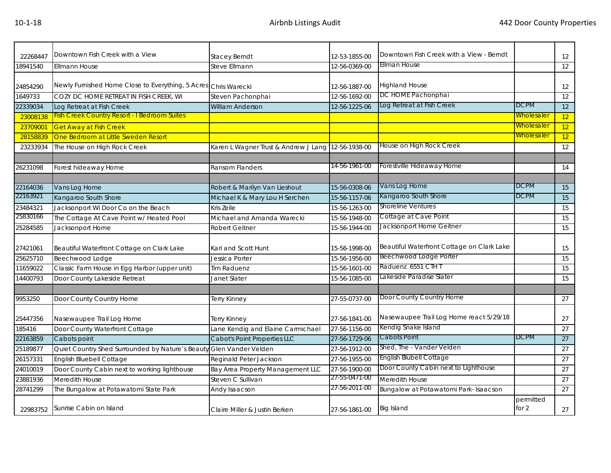| 22268447 | Downtown Fish Creek with a View                                     | <b>Stacey Berndt</b>                               | 12-53-1855-00 | Downtown Fish Creek with a View - Berndt   |                    | 12 |
|----------|---------------------------------------------------------------------|----------------------------------------------------|---------------|--------------------------------------------|--------------------|----|
| 18941540 | <b>Ellmann House</b>                                                | Steve Ellmann                                      | 12-56-0369-00 | Ellman House                               |                    | 12 |
|          |                                                                     |                                                    |               |                                            |                    |    |
| 24854290 | Newly Furnished Home Close to Everything, 5 Acres Chris Warecki     |                                                    | 12-56-1887-00 | <b>Highland House</b>                      |                    | 12 |
| 1649733  | COZY DC HOME RETREAT IN FISH CREEK, WI                              | Steven Pachonphai                                  | 12-56-1692-00 | DC HOME Pachonphai                         |                    | 12 |
| 22339034 | Log Retreat at Fish Creek                                           | <b>William Anderson</b>                            | 12-56-1225-06 | Log Retreat at Fish Creek                  | <b>DCPM</b>        | 12 |
| 23008138 | <b>Fish Creek Country Resort - I Bedroom Suites</b>                 |                                                    |               |                                            | <u>Wholesaler</u>  | 12 |
| 23709001 | <b>Get Away at Fish Creek</b>                                       |                                                    |               |                                            | <u>Wholesaler</u>  | 12 |
| 28158839 | One Bedroom at Little Sweden Resort                                 |                                                    |               |                                            | <u>Wholesaler</u>  | 12 |
| 23233934 | The House on High Rock Creek                                        | Karen L Wagner Trust & Andrew J Lang 12-56-1938-00 |               | House on High Rock Creek                   |                    | 12 |
|          |                                                                     |                                                    |               |                                            |                    |    |
| 26231098 | Forest hideaway Home                                                | <b>Ransom Flanders</b>                             | 14-56-1961-00 | Forestville Hideaway Home                  |                    | 14 |
|          |                                                                     |                                                    |               |                                            |                    |    |
| 22164036 | Vans Log Home                                                       | Robert & Marilyn Van Lieshout                      | 15-56-0308-06 | Vans Log Home                              | <b>DCPM</b>        | 15 |
| 22163921 | Kangaroo South Shore                                                | Michael K & Mary Lou H Serchen                     | 15-56-1157-06 | Kangaroo South Shore                       | <b>DCPM</b>        | 15 |
| 23484321 | Jacksonport Wi Door Co on the Beach                                 | Kris Zeile                                         | 15-56-1263-00 | <b>Shoreline Ventures</b>                  |                    | 15 |
| 25830166 | The Cottage At Cave Point w/ Heated Pool                            | Michael and Amanda Warecki                         | 15-56-1948-00 | Cottage at Cave Point                      |                    | 15 |
| 25284585 | Jacksonport Home                                                    | <b>Robert Geitner</b>                              | 15-56-1944-00 | Jacksonport Home Geitner                   |                    | 15 |
|          |                                                                     |                                                    |               |                                            |                    |    |
| 27421061 | Beautiful Waterfront Cottage on Clark Lake                          | Kari and Scott Hunt                                | 15-56-1998-00 | Beautiful Waterfront Cottage on Clark Lake |                    | 15 |
| 25625710 | Beechwood Lodge                                                     | Jessica Porter                                     | 15-56-1956-00 | Beechwood Lodge Porter                     |                    | 15 |
| 11659022 | Classic Farm House in Egg Harbor (upper unit)                       | Tim Raduenz                                        | 15-56-1601-00 | Raduenz 6551 CTH T                         |                    | 15 |
| 14400793 | Door County Lakeside Retreat                                        | Janet Slater                                       | 15-56-1085-00 | Lakeside Paradise Slater                   |                    | 15 |
|          |                                                                     |                                                    |               |                                            |                    |    |
| 9953250  | Door County Country Home                                            | Terry Kinney                                       | 27-55-0737-00 | Door County Country Home                   |                    | 27 |
|          |                                                                     |                                                    |               |                                            |                    |    |
| 25447356 | Nasewaupee Trail Log Home                                           | Terry Kinney                                       | 27-56-1841-00 | Nasewaupee Trail Log Home react 5/29/18    |                    | 27 |
| 185416   | Door County Waterfront Cottage                                      | Lane Kendig and Elaine Carmichael                  | 27-56-1156-00 | Kendig Snake Island                        |                    | 27 |
| 22163859 | Cabots point                                                        | Cabot's Point Properties LLC                       | 27-56-1729-06 | Cabots Point                               | <b>DCPM</b>        | 27 |
| 25189877 | Quiet Country Shed Surrounded by Nature's Beauty Glen Vander Velden |                                                    | 27-56-1912-00 | Shed, The - Vander Velden                  |                    | 27 |
| 26157331 | English Bluebell Cottage                                            | Reginald Peter Jackson                             | 27-56-1955-00 | English Blubell Cottage                    |                    | 27 |
| 24010019 | Door County Cabin next to working lighthouse                        | Bay Area Property Management LLC                   | 27-56-1900-00 | Door County Cabin next to Lighthouse       |                    | 27 |
| 23881936 | Meredith House                                                      | Steven C Sullivan                                  | 27-55-0471-00 | Meredith House                             |                    | 27 |
| 28741299 | The Bungalow at Potawatomi State Park                               | Andy Isaacson                                      | 27-56-2011-00 | Bungalow at Potawatomi Park- Isaacson      |                    | 27 |
| 22983752 | Sunrise Cabin on Island                                             | Claire Miller & Justin Berken                      | 27-56-1861-00 | <b>Big Island</b>                          | permitted<br>for 2 | 27 |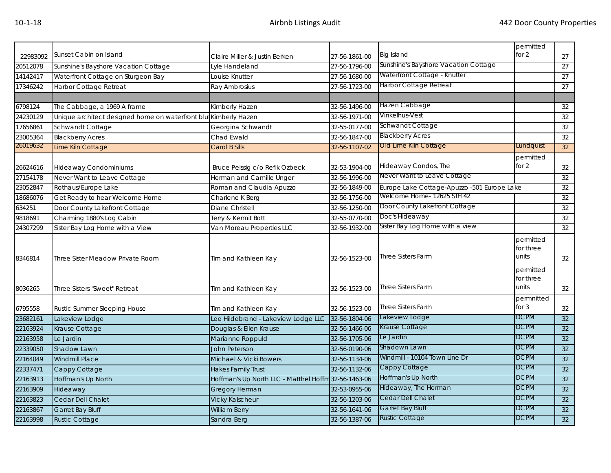|                      |                                                                 |                                                      |               |                                                  | permitted                       |                 |
|----------------------|-----------------------------------------------------------------|------------------------------------------------------|---------------|--------------------------------------------------|---------------------------------|-----------------|
| 22983092             | Sunset Cabin on Island                                          | Claire Miller & Justin Berken                        | 27-56-1861-00 | <b>Big Island</b>                                | for 2                           | 27              |
| 20512078             | Sunshine's Bayshore Vacation Cottage                            | Lyle Handeland                                       | 27-56-1796-00 | Sunshine's Bayshore Vacation Cottage             |                                 | 27              |
| 14142417             | Waterfront Cottage on Sturgeon Bay                              | Louise Knutter                                       | 27-56-1680-00 | Waterfront Cottage - Knutter                     |                                 | 27              |
| 17346242             | <b>Harbor Cottage Retreat</b>                                   | Ray Ambrosius                                        | 27-56-1723-00 | Harbor Cottage Retreat                           |                                 | $\overline{27}$ |
|                      |                                                                 |                                                      |               |                                                  |                                 |                 |
| 6798124              | The Cabbage, a 1969 A frame                                     | Kimberly Hazen                                       | 32-56-1496-00 | Hazen Cabbage                                    |                                 | 32              |
| 24230129             | Unique architect designed home on waterfront blu Kimberly Hazen |                                                      | 32-56-1971-00 | Vinkelhus-Vest                                   |                                 | 32              |
| 17656861             | Schwandt Cottage                                                | Georgina Schwandt                                    | 32-55-0177-00 | <b>Schwandt Cottage</b>                          |                                 | 32              |
| 23005364             | <b>Blackberry Acres</b>                                         | Chad Ewald                                           | 32-56-1847-00 | <b>Blackberry Acres</b>                          |                                 | 32              |
| 26019632             | Lime Kiln Cottage                                               | Carol B Sills                                        | 32-56-1107-02 | Old Lime Kiln Cottage                            | Lundquist                       | 32 <sup>2</sup> |
|                      |                                                                 |                                                      |               |                                                  | permitted                       |                 |
| 26624616             | <b>Hideaway Condominiums</b>                                    | Bruce Peissig c/o Refik Ozbeck                       | 32-53-1904-00 | Hideaway Condos, The                             | for 2                           | 32              |
| 27154178             | Never Want to Leave Cottage                                     | Herman and Camille Unger                             | 32-56-1996-00 | Never Want to Leave Cottage                      |                                 | 32              |
| 23052847             | Rothaus/Europe Lake                                             | Roman and Claudia Apuzzo                             | 32-56-1849-00 | Europe Lake Cottage-Apuzzo -501 Europe Lake      |                                 | 32              |
| 18686076             | Get Ready to hear Welcome Home                                  | Charlene K Berg                                      | 32-56-1756-00 | Welcome Home- 12625 STH 42                       |                                 | 32              |
| 634251               | Door County Lakefront Cottage                                   | Diane Christell                                      | 32-56-1250-00 | Door County Lakefront Cottage                    |                                 | 32              |
| 9818691              | Charming 1880's Log Cabin                                       | Terry & Kermit Bott                                  | 32-55-0770-00 | Doc's Hideaway                                   |                                 | 32              |
|                      | Sister Bay Log Home with a View                                 | Van Moreau Properties LLC                            | 32-56-1932-00 | Sister Bay Log Home with a view                  |                                 | 32              |
| 24307299             |                                                                 |                                                      |               |                                                  |                                 |                 |
| 8346814              | Three Sister Meadow Private Room                                | Tim and Kathleen Kay                                 | 32-56-1523-00 | <b>Three Sisters Farm</b>                        | permitted<br>for three<br>units | 32              |
| 8036265              | Three Sisters "Sweet" Retreat                                   | Tim and Kathleen Kay                                 | 32-56-1523-00 | <b>Three Sisters Farm</b>                        | permitted<br>for three<br>units | 32              |
| 6795558              | Rustic Summer Sleeping House                                    | Tim and Kathleen Kay                                 | 32-56-1523-00 | <b>Three Sisters Farm</b>                        | permnitted<br>for $3$           | 32              |
| 23682161             | Lakeview Lodge                                                  | Lee Hildebrand - Lakeview Lodge LLC 32-56-1804-06    |               | Lakeview Lodge                                   | <b>DCPM</b>                     | 32              |
| 22163924             | Krause Cottage                                                  | Douglas & Ellen Krause                               | 32-56-1466-06 | Krause Cottage                                   | <b>DCPM</b>                     | 32              |
| 22163958             | Le Jardin                                                       | Marianne Roppuld                                     | 32-56-1705-06 | Le Jardin                                        | <b>DCPM</b>                     | 32              |
| 22339050             | <b>Shadow Lawn</b>                                              | John Peterson                                        | 32-56-0190-06 | Shadown Lawn                                     | <b>DCPM</b>                     | 32              |
| 22164049             | <b>Windmill Place</b>                                           | Michael & Vicki Bowers                               | 32-56-1134-06 | Windmill - 10104 Town Line Dr                    | <b>DCPM</b>                     | 32              |
|                      | Cappy Cottage                                                   | <b>Hakes Family Trust</b>                            | 32-56-1132-06 | Cappy Cottage                                    | <b>DCPM</b>                     | 32              |
| 22337471<br>22163913 | Hoffman's Up North                                              | Hoffman's Up North LLC - Matthel Hoffm 32-56-1463-06 |               | Hoffman's Up North                               | <b>DCPM</b>                     | 32              |
| 22163909             | Hideaway                                                        | <b>Gregory Herman</b>                                | 32-53-0955-06 | Hideaway, The Herman                             | <b>DCPM</b>                     | 32              |
| 22163823             | Cedar Dell Chalet                                               | <b>Vicky Kalscheur</b>                               | 32-56-1203-06 | Cedar Dell Chalet                                | <b>DCPM</b>                     | 32              |
| 22163867             | Garret Bay Bluff                                                | <b>William Berry</b>                                 | 32-56-1641-06 | <b>Garret Bay Bluff</b><br><b>Rustic Cottage</b> | <b>DCPM</b>                     | 32              |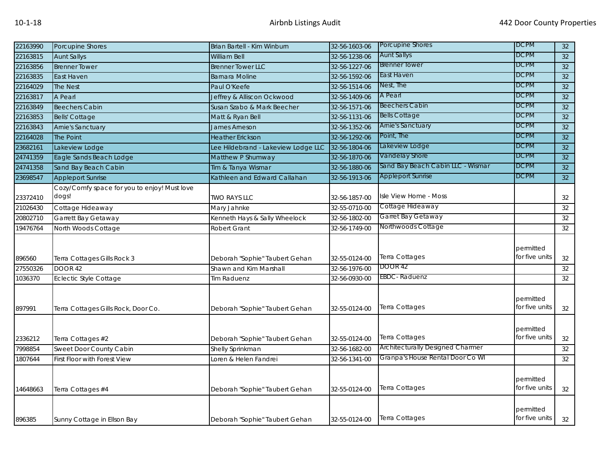| 22163990 | Porcupine Shores                                      | Brian Bartell - Kim Winburn         | 32-56-1603-06 | Porcupine Shores                        | <b>DCPM</b>                 | 32 |
|----------|-------------------------------------------------------|-------------------------------------|---------------|-----------------------------------------|-----------------------------|----|
| 22163815 | <b>Aunt Sallys</b>                                    | <b>William Bell</b>                 | 32-56-1238-06 | <b>Aunt Sallys</b>                      | DCPM                        | 32 |
| 22163856 | <b>Brenner Tower</b>                                  | <b>Brenner Tower LLC</b>            | 32-56-1227-06 | <b>Brenner Tower</b>                    | <b>DCPM</b>                 | 32 |
| 22163835 | East Haven                                            | <b>Barnara Moline</b>               | 32-56-1592-06 | East Haven                              | <b>DCPM</b>                 | 32 |
| 22164029 | The Nest                                              | Paul O'Keefe                        | 32-56-1514-06 | Nest, The                               | <b>DCPM</b>                 | 32 |
| 22163817 | A Pearl                                               | Jeffrey & Alliscon Ockwood          | 32-56-1409-06 | A Pearl                                 | <b>DCPM</b>                 | 32 |
| 22163849 | <b>Beechers Cabin</b>                                 | Susan Szabo & Mark Beecher          | 32-56-1571-06 | <b>Beechers Cabin</b>                   | <b>DCPM</b>                 | 32 |
| 22163853 | <b>Bells' Cottage</b>                                 | Matt & Ryan Bell                    | 32-56-1131-06 | <b>Bells Cottage</b>                    | <b>DCPM</b>                 | 32 |
| 22163843 | Arnie's Sanctuary                                     | James Arneson                       | 32-56-1352-06 | <b>Arnie's Sanctuary</b>                | <b>DCPM</b>                 | 32 |
| 22164028 | The Point                                             | <b>Heather Erickson</b>             | 32-56-1292-06 | Point, The                              | <b>DCPM</b>                 | 32 |
| 23682161 | Lakeview Lodge                                        | Lee Hildebrand - Lakeview Lodge LLC | 32-56-1804-06 | Lakeview Lodge                          | <b>DCPM</b>                 | 32 |
| 24741359 | Eagle Sands Beach Lodge                               | Matthew P Shumway                   | 32-56-1870-06 | Vandelay Shore                          | <b>DCPM</b>                 | 32 |
| 24741358 | Sand Bay Beach Cabin                                  | Tim & Tanya Wismar                  | 32-56-1880-06 | Sand Bay Beach Cabin LLC - Wismar       | <b>DCPM</b>                 | 32 |
| 23698547 | <b>Appleport Sunrise</b>                              | Kathleen and Edward Callahan        | 32-56-1913-06 | <b>Appleport Sunrise</b>                | <b>DCPM</b>                 | 32 |
| 23372410 | Cozy/Comfy space for you to enjoy! Must love<br>dogs! | <b>TWO RAYS LLC</b>                 | 32-56-1857-00 | Isle View Home - Moss                   |                             | 32 |
| 21026430 | Cottage Hideaway                                      | Mary Jahnke                         | 32-55-0710-00 | Cottage Hideaway                        |                             | 32 |
| 20802710 | Garrett Bay Getaway                                   | Kenneth Hays & Sally Wheelock       | 32-56-1802-00 | Garret Bay Getaway                      |                             | 32 |
| 19476764 | North Woods Cottage                                   | <b>Robert Grant</b>                 | 32-56-1749-00 | Northwoods Cottage                      |                             | 32 |
| 896560   | Terra Cottages Gills Rock 3                           | Deborah "Sophie" Taubert Gehan      | 32-55-0124-00 | Terra Cottages                          | permitted<br>for five units | 32 |
| 27550326 | <b>DOOR 42</b>                                        | Shawn and Kim Marshall              | 32-56-1976-00 | <b>DOOR 42</b>                          |                             | 32 |
| 1036370  | <b>Eclectic Style Cottage</b>                         | Tim Raduenz                         | 32-56-0930-00 | EBDC-Raduenz                            |                             | 32 |
| 897991   | Terra Cottages Gills Rock, Door Co.                   | Deborah "Sophie" Taubert Gehan      | 32-55-0124-00 | Terra Cottages                          | permitted<br>for five units | 32 |
| 2336212  | Terra Cottages #2                                     | Deborah "Sophie" Taubert Gehan      | 32-55-0124-00 | Terra Cottages                          | permitted<br>for five units | 32 |
| 7998854  | Sweet Door County Cabin                               | Shelly Sprinkman                    | 32-56-1682-00 | <b>Architecturally Designed Charmer</b> |                             | 32 |
| 1807644  | First Floor with Forest View                          | Loren & Helen Fandrei               | 32-56-1341-00 | Granpa's House Rental Door Co WI        |                             | 32 |
| 14648663 | Terra Cottages #4                                     | Deborah "Sophie" Taubert Gehan      | 32-55-0124-00 | Terra Cottages                          | permitted<br>for five units | 32 |
| 896385   | Sunny Cottage in Ellson Bay                           | Deborah "Sophie" Taubert Gehan      | 32-55-0124-00 | Terra Cottages                          | permitted<br>for five units | 32 |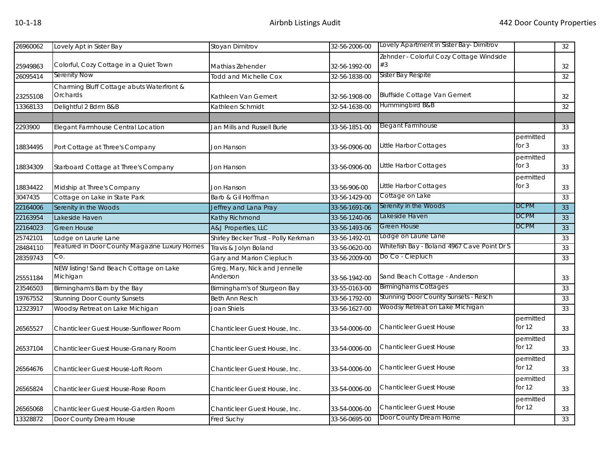| 26960062 | Lovely Apt in Sister Bay                      | Stoyan Dimitrov                      | 32-56-2006-00 | Lovely Apartment in Sister Bay- Dimitrov    |             | 32              |
|----------|-----------------------------------------------|--------------------------------------|---------------|---------------------------------------------|-------------|-----------------|
|          |                                               |                                      |               | Zehnder - Colorful Cozy Cottage Windside    |             |                 |
| 25949863 | Colorful, Cozy Cottage in a Quiet Town        | Mathias Zehender                     | 32-56-1992-00 | #3                                          |             | 32              |
| 26095414 | Serenity Now                                  | <b>Todd and Michelle Cox</b>         | 32-56-1838-00 | Sister Bay Respite                          |             | 32              |
|          | Charming Bluff Cottage abuts Waterfront &     |                                      |               |                                             |             |                 |
| 23255108 | Orchards                                      | Kathleen Van Gemert                  | 32-56-1908-00 | <b>Bluffside Cottage Van Gemert</b>         |             | 32              |
| 13368133 | Delightful 2 Bdrm B&B                         | Kathleen Schmidt                     | 32-54-1638-00 | Hummingbird B&B                             |             | 32              |
|          |                                               |                                      |               |                                             |             |                 |
| 2293900  | Elegant Farmhouse Central Location            | Jan Mills and Russell Burie          | 33-56-1851-00 | Elegant Farmhouse                           |             | 33              |
|          |                                               |                                      |               |                                             | permitted   |                 |
| 18834495 | Port Cottage at Three's Company               | Jon Hanson                           | 33-56-0906-00 | Little Harbor Cottages                      | for 3       | 33              |
|          |                                               |                                      |               |                                             | permitted   |                 |
| 18834309 | Starboard Cottage at Three's Company          | Jon Hanson                           | 33-56-0906-00 | Little Harbor Cottages                      | for $3$     | 33              |
|          |                                               |                                      |               |                                             | permitted   |                 |
| 18834422 | Midship at Three's Company                    | Jon Hanson                           | 33-56-906-00  | Little Harbor Cottages                      | for $3$     | 33              |
| 3047435  | Cottage on Lake in State Park                 | Barb & Gil Hoffman                   | 33-56-1429-00 | Cottage on Lake                             |             | 33              |
| 22164006 | Serenity in the Woods                         | Jeffrey and Lana Pray                | 33-56-1691-06 | Serenity in the Woods                       | <b>DCPM</b> | $\overline{33}$ |
| 22163954 | Lakeside Haven                                | Kathy Richmond                       | 33-56-1240-06 | Lakeside Haven                              | <b>DCPM</b> | 33              |
| 22164023 | <b>Green House</b>                            | A&J Properties, LLC                  | 33-56-1493-06 | <b>Green House</b>                          | <b>DCPM</b> | 33              |
| 25742101 | Lodge on Laurie Lane                          | Shirley Becker Trust - Polly Kerkman | 33-56-1492-01 | odge on Laurie Lane                         |             | 33              |
| 28484110 | Featured in Door County Magazine Luxury Homes | Travis & Jolyn Boland                | 33-56-0620-00 | Whitefish Bay - Boland 4967 Cave Point Dr S |             | 33              |
| 28359743 | Co.                                           | Gary and Marion Ciepluch             | 33-56-2009-00 | Do Co - Ciepluch                            |             | 33              |
|          | NEW listing! Sand Beach Cottage on Lake       | Greg, Mary, Nick and Jennelle        |               |                                             |             |                 |
| 25551184 | Michigan                                      | Anderson                             | 33-56-1942-00 | Sand Beach Cottage - Anderson               |             | 33              |
| 23546503 | Birmingham's Barn by the Bay                  | Birmingham's of Sturgeon Bay         | 33-55-0163-00 | <b>Birminghams Cottages</b>                 |             | 33              |
| 19767552 | <b>Stunning Door County Sunsets</b>           | <b>Beth Ann Resch</b>                | 33-56-1792-00 | Stunning Door County Sunsets - Resch        |             | 33              |
| 12323917 | Woodsy Retreat on Lake Michigan               | Joan Shiels                          | 33-56-1627-00 | Woodsy Retreat on Lake Michigan             |             | 33              |
|          |                                               |                                      |               |                                             | permitted   |                 |
| 26565527 | Chanticleer Guest House-Sunflower Room        | Chanticleer Guest House, Inc.        | 33-54-0006-00 | <b>Chanticleer Guest House</b>              | for 12      | 33              |
|          |                                               |                                      |               |                                             | permitted   |                 |
| 26537104 | Chanticleer Guest House-Granary Room          | Chanticleer Guest House, Inc.        | 33-54-0006-00 | <b>Chanticleer Guest House</b>              | for $12$    | 33              |
|          |                                               |                                      |               |                                             | permitted   |                 |
| 26564676 | Chanticleer Guest House-Loft Room             | Chanticleer Guest House, Inc.        | 33-54-0006-00 | <b>Chanticleer Guest House</b>              | for $12$    | 33              |
|          |                                               |                                      |               |                                             | permitted   |                 |
| 26565824 | <b>Chanticleer Guest House-Rose Room</b>      | Chanticleer Guest House, Inc.        | 33-54-0006-00 | <b>Chanticleer Guest House</b>              | for 12      | 33              |
|          |                                               |                                      |               |                                             | permitted   |                 |
| 26565068 | Chanticleer Guest House-Garden Room           | Chanticleer Guest House, Inc.        | 33-54-0006-00 | <b>Chanticleer Guest House</b>              | for 12      | 33              |
| 13328872 | Door County Dream House                       | Fred Suchy                           | 33-56-0695-00 | Door County Dream Home                      |             | 33              |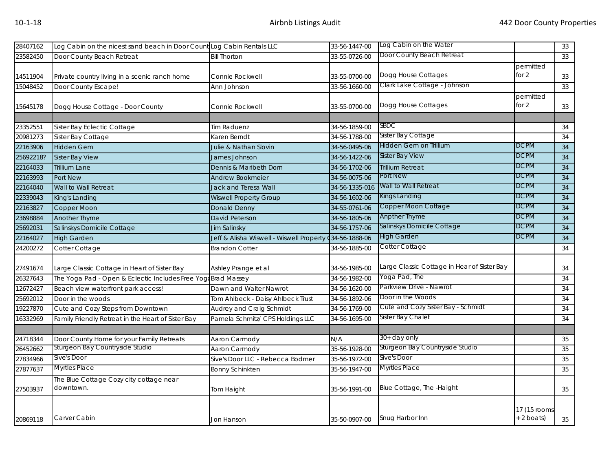| 28407162  | Log Cabin on the nicest sand beach in Door Count Log Cabin Rentals LLC |                                          | 33-56-1447-00  | Log Cabin on the Water                      |              | 33              |
|-----------|------------------------------------------------------------------------|------------------------------------------|----------------|---------------------------------------------|--------------|-----------------|
| 23582450  | Door County Beach Retreat                                              | <b>Bill Thorton</b>                      | 33-55-0726-00  | Door County Beach Retreat                   |              | 33              |
|           |                                                                        |                                          |                |                                             | permitted    |                 |
| 14511904  | Private country living in a scenic ranch home                          | Connie Rockwell                          | 33-55-0700-00  | Dogg House Cottages                         | for 2        | 33              |
| 15048452  | Door County Escape!                                                    | Ann Johnson                              | 33-56-1660-00  | Clark Lake Cottage - Johnson                |              | 33              |
|           |                                                                        |                                          |                |                                             | permitted    |                 |
| 15645178  | Dogg House Cottage - Door County                                       | Connie Rockwell                          | 33-55-0700-00  | Dogg House Cottages                         | for 2        | 33              |
|           |                                                                        |                                          |                |                                             |              |                 |
| 23352551  | Sister Bay Eclectic Cottage                                            | Tim Raduenz                              | 34-56-1859-00  | SBDC                                        |              | 34              |
| 20981273  | Sister Bay Cottage                                                     | Karen Berndt                             | 34-56-1788-00  | Sister Bay Cottage                          |              | 34              |
| 22163906  | <b>Hidden Gem</b>                                                      | Julie & Nathan Slovin                    | 34-56-0495-06  | Hidden Gem on Trillium                      | <b>DCPM</b>  | 34              |
| 25692218? | <b>Sister Bay View</b>                                                 | James Johnson                            | 34-56-1422-06  | <b>Sister Bay View</b>                      | <b>DCPM</b>  | 34              |
| 22164033  | <b>Trillium Lane</b>                                                   | Dennis & Maribeth Dorn                   | 34-56-1702-06  | <b>Trillium Retreat</b>                     | <b>DCPM</b>  | 34              |
| 22163993  | Port New                                                               | Andrew Bookmeier                         | 34-56-0075-06  | Port New                                    | <b>DCPM</b>  | 34              |
| 22164040  | Wall to Wall Retreat                                                   | Jack and Teresa Wall                     | 34-56-1335-016 | Wall to Wall Retreat                        | <b>DCPM</b>  | 34              |
| 22339043  | King's Landing                                                         | <b>Wiswell Property Group</b>            | 34-56-1602-06  | Kings Landing                               | <b>DCPM</b>  | 34              |
| 22163827  | Copper Moon                                                            | <b>Donald Denny</b>                      | 34-55-0761-06  | Copper Moon Cottage                         | <b>DCPM</b>  | 34              |
| 23698884  | Another Thyme                                                          | David Peterson                           | 34-56-1805-06  | <b>Anpther Thyme</b>                        | <b>DCPM</b>  | $\overline{34}$ |
| 25692031  | Salinskys Domicile Cottage                                             | Jim Salinsky                             | 34-56-1757-06  | Salinskys Domicile Cottage                  | <b>DCPM</b>  | 34              |
| 22164027  | <b>High Garden</b>                                                     | Jeff & Alisha Wiswell - Wiswell Property | 034-56-1888-06 | <b>High Garden</b>                          | <b>DCPM</b>  | 34              |
| 24200272  | Cotter Cottage                                                         | <b>Brandon Cotter</b>                    | 34-56-1885-00  | Cotter Cottage                              |              | 34              |
|           |                                                                        |                                          |                |                                             |              |                 |
| 27491674  | Large Classic Cottage in Heart of Sister Bay                           | Ashley Prange et al                      | 34-56-1985-00  | Large Classic Cottage in Hear of Sister Bay |              | 34              |
| 26327643  | The Yoga Pad - Open & Eclectic Includes Free Yog Brad Massey           |                                          | 34-56-1982-00  | Yoga Pad, The                               |              | $\overline{34}$ |
| 12672427  | Beach view waterfront park access!                                     | Dawn and Walter Nawrot                   | 34-56-1620-00  | Parkview Drive - Nawrot                     |              | 34              |
| 25692012  | Door in the woods                                                      | Tom Ahlbeck - Daisy Ahlbeck Trust        | 34-56-1892-06  | Door in the Woods                           |              | 34              |
| 19227870  | Cute and Cozy Steps from Downtown                                      | Audrey and Craig Schmidt                 | 34-56-1769-00  | Cute and Cozy Sister Bay - Schmidt          |              | 34              |
| 16332969  | Family Friendly Retreat in the Heart of Sister Bay                     | Pamela Schmitz/ CPS Holdings LLC         | 34-56-1695-00  | Sister Bay Chalet                           |              | 34              |
|           |                                                                        |                                          |                |                                             |              |                 |
| 24718344  | Door County Home for your Family Retreats                              | Aaron Carmody                            | N/A            | $30+$ day only                              |              | 35              |
| 26452662  | Sturgeon Bay Countryside Studio                                        | Aaron Carmody                            | 35-56-1928-00  | Sturgeon Bay Countryside Studio             |              | 35              |
| 27834966  | Sive's Door                                                            | Sive's Door LLC - Rebecca Bodmer         | 35-56-1972-00  | Sive's Door                                 |              | 35              |
| 27877637  | <b>Myrtles Place</b>                                                   | <b>Bonny Schinkten</b>                   | 35-56-1947-00  | <b>Myrtles Place</b>                        |              | 35              |
|           | The Blue Cottage Cozy city cottage near                                |                                          |                |                                             |              |                 |
| 27503937  | downtown.                                                              | Tom Haight                               | 35-56-1991-00  | Blue Cottage, The -Haight                   |              | 35              |
|           |                                                                        |                                          |                |                                             |              |                 |
|           |                                                                        |                                          |                |                                             | 17 (15 rooms |                 |
| 20869118  | Carver Cabin                                                           | <b>Jon Hanson</b>                        | 35-50-0907-00  | Snug Harbor Inn                             | + 2 boats)   | 35              |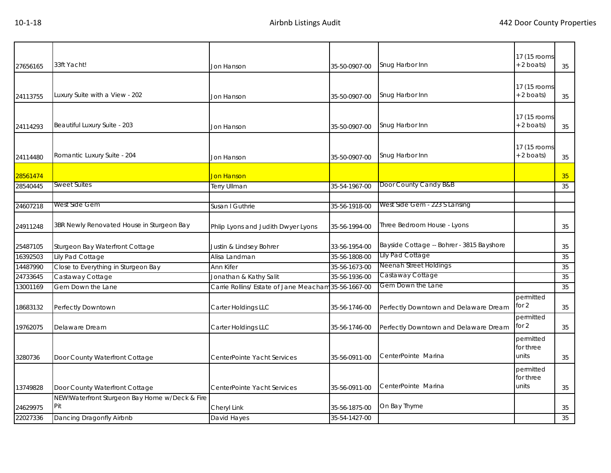| 33ft Yacht!<br>27656165 |                                                | Jon Hanson                                           | 35-50-0907-00 | Snug Harbor Inn                           | 17 (15 rooms)<br>$+ 2$ boats) | 35 |
|-------------------------|------------------------------------------------|------------------------------------------------------|---------------|-------------------------------------------|-------------------------------|----|
|                         |                                                |                                                      |               |                                           |                               |    |
|                         |                                                |                                                      |               |                                           | 17 (15 rooms                  |    |
| 24113755                | uxury Suite with a View - 202                  | Jon Hanson                                           | 35-50-0907-00 | Snug Harbor Inn                           | $+2$ boats)                   | 35 |
|                         |                                                |                                                      |               |                                           |                               |    |
|                         |                                                |                                                      |               |                                           | 17 (15 rooms                  |    |
| 24114293                | Beautiful Luxury Suite - 203                   | Jon Hanson                                           | 35-50-0907-00 | Snug Harbor Inn                           | $+ 2$ boats)                  | 35 |
|                         |                                                |                                                      |               |                                           |                               |    |
|                         | Romantic Luxury Suite - 204                    |                                                      |               | Snug Harbor Inn                           | 17 (15 rooms<br>$+ 2$ boats)  |    |
| 24114480                |                                                | Jon Hanson                                           | 35-50-0907-00 |                                           |                               | 35 |
| 28561474                |                                                | Jon Hanson                                           |               |                                           |                               | 35 |
| 28540445                | <b>Sweet Suites</b>                            | <b>Terry Ullman</b>                                  | 35-54-1967-00 | Door County Candy B&B                     |                               | 35 |
|                         |                                                |                                                      |               |                                           |                               |    |
| 24607218                | West Side Gem                                  | Susan I Guthrie                                      | 35-56-1918-00 | West Side Gem - 223 S Lansing             |                               |    |
| 24911248                | 3BR Newly Renovated House in Sturgeon Bay      | Phlip Lyons and Judith Dwyer Lyons                   | 35-56-1994-00 | Three Bedroom House - Lyons               |                               | 35 |
|                         |                                                |                                                      |               |                                           |                               |    |
| 25487105                | Sturgeon Bay Waterfront Cottage                | Justin & Lindsey Bohrer                              | 33-56-1954-00 | Bayside Cottage -- Bohrer - 3815 Bayshore |                               | 35 |
| 16392503                | Lily Pad Cottage                               | Alisa Landman                                        | 35-56-1808-00 | Lily Pad Cottage                          |                               | 35 |
| 14487990                | Close to Everything in Sturgeon Bay            | Ann Kifer                                            | 35-56-1673-00 | Neenah Street Holdings                    |                               | 35 |
| 24733645                | Castaway Cottage                               | Jonathan & Kathy Salit                               | 35-56-1936-00 | Castaway Cottage                          |                               | 35 |
| 13001169                | Gem Down the Lane                              | Carrie Rollins/ Estate of Jane Meacham 35-56-1667-00 |               | Gem Down the Lane                         |                               | 35 |
| 18683132                | Perfectly Downtown                             | Carter Holdings LLC                                  | 35-56-1746-00 | Perfectly Downtown and Delaware Dream     | permitted<br>for 2            | 35 |
|                         |                                                |                                                      |               |                                           | permitted                     |    |
| 19762075                | Delaware Dream                                 | Carter Holdings LLC                                  | 35-56-1746-00 | Perfectly Downtown and Delaware Dream     | for 2                         | 35 |
|                         |                                                |                                                      |               |                                           | permitted                     |    |
| 3280736                 |                                                | CenterPointe Yacht Services                          | 35-56-0911-00 | CenterPointe Marina                       | for three<br>units            | 35 |
|                         | Door County Waterfront Cottage                 |                                                      |               |                                           |                               |    |
|                         |                                                |                                                      |               |                                           | permitted<br>for three        |    |
| 13749828                | Door County Waterfront Cottage                 | CenterPointe Yacht Services                          | 35-56-0911-00 | CenterPointe Marina                       | units                         | 35 |
|                         | NEW!Waterfront Sturgeon Bay Home w/Deck & Fire |                                                      |               |                                           |                               |    |
| 24629975                | Pit                                            | Cheryl Link                                          | 35-56-1875-00 | On Bay Thyme                              |                               | 35 |
| 22027336                | Dancing Dragonfly Airbnb                       | David Hayes                                          | 35-54-1427-00 |                                           |                               | 35 |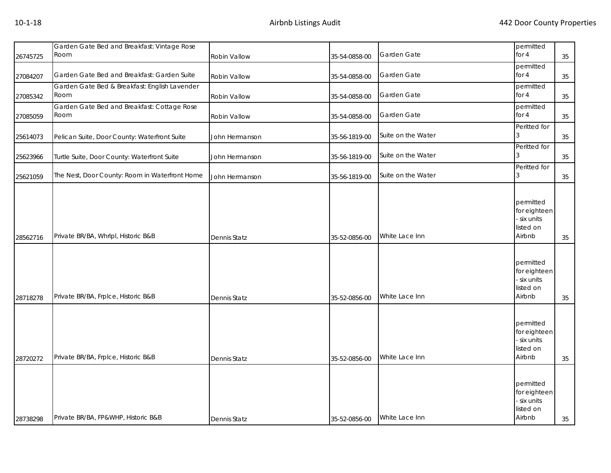| 26745725 | Garden Gate Bed and Breakfast: Vintage Rose<br>Room   | Robin Vallow        | 35-54-0858-00 | Garden Gate        | permitted<br>for 4                                            | 35     |
|----------|-------------------------------------------------------|---------------------|---------------|--------------------|---------------------------------------------------------------|--------|
|          |                                                       |                     |               |                    | permitted                                                     |        |
| 27084207 | Garden Gate Bed and Breakfast: Garden Suite           | Robin Vallow        | 35-54-0858-00 | Garden Gate        | for 4                                                         | $35\,$ |
| 27085342 | Garden Gate Bed & Breakfast: English Lavender<br>Room | Robin Vallow        | 35-54-0858-00 | Garden Gate        | permitted<br>for 4                                            | 35     |
| 27085059 | Garden Gate Bed and Breakfast: Cottage Rose<br>Room   | Robin Vallow        | 35-54-0858-00 | Garden Gate        | permitted<br>for 4                                            | $35\,$ |
| 25614073 | Pelican Suite, Door County: Waterfront Suite          | John Hermanson      | 35-56-1819-00 | Suite on the Water | Peritted for<br>3                                             | 35     |
| 25623966 | Turtle Suite, Door County: Waterfront Suite           | John Hermanson      | 35-56-1819-00 | Suite on the Water | Peritted for<br>3                                             | 35     |
| 25621059 | The Nest, Door County: Room in Waterfront Home        | John Hermanson      | 35-56-1819-00 | Suite on the Water | Peritted for                                                  | 35     |
| 28562716 | Private BR/BA, Whrlpl, Historic B&B                   | Dennis Statz        | 35-52-0856-00 | White Lace Inn     | permitted<br>for eighteen<br>six units<br>listed on<br>Airbnb | 35     |
| 28718278 | Private BR/BA, Frplce, Historic B&B                   | Dennis Statz        | 35-52-0856-00 | White Lace Inn     | permitted<br>for eighteen<br>six units<br>listed on<br>Airbnb | 35     |
| 28720272 | Private BR/BA, Frplce, Historic B&B                   | Dennis Statz        | 35-52-0856-00 | White Lace Inn     | permitted<br>for eighteen<br>six units<br>listed on<br>Airbnb | 35     |
| 28738298 | Private BR/BA, FP&WHP, Historic B&B                   | <b>Dennis Statz</b> | 35-52-0856-00 | White Lace Inn     | permitted<br>for eighteen<br>six units<br>listed on<br>Airbnb | 35     |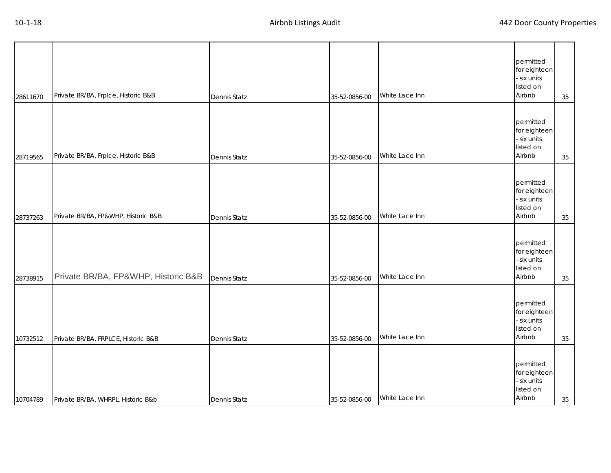| 28611670 | Private BR/BA, Frplce, Historic B&B | <b>Dennis Statz</b> | 35-52-0856-00 | White Lace Inn | permitted<br>for eighteen<br>- six units<br>listed on<br>Airbnb | 35 |
|----------|-------------------------------------|---------------------|---------------|----------------|-----------------------------------------------------------------|----|
| 28719565 | Private BR/BA, Frplce, Historic B&B | <b>Dennis Statz</b> | 35-52-0856-00 | White Lace Inn | permitted<br>for eighteen<br>- six units<br>listed on<br>Airbnb | 35 |
| 28737263 | Private BR/BA, FP&WHP, Historic B&B | Dennis Statz        | 35-52-0856-00 | White Lace Inn | permitted<br>for eighteen<br>- six units<br>listed on<br>Airbnb | 35 |
| 28738915 | Private BR/BA, FP&WHP, Historic B&B | Dennis Statz        | 35-52-0856-00 | White Lace Inn | permitted<br>for eighteen<br>- six units<br>listed on<br>Airbnb | 35 |
| 10732512 | Private BR/BA, FRPLCE, Historic B&B | <b>Dennis Statz</b> | 35-52-0856-00 | White Lace Inn | permitted<br>for eighteen<br>- six units<br>listed on<br>Airbnb | 35 |
| 10704789 | Private BR/BA, WHRPL, Historic B&b  | <b>Dennis Statz</b> | 35-52-0856-00 | White Lace Inn | permitted<br>for eighteen<br>- six units<br>listed on<br>Airbnb | 35 |

Т

 $\top$ 

Т

Т

Т

Т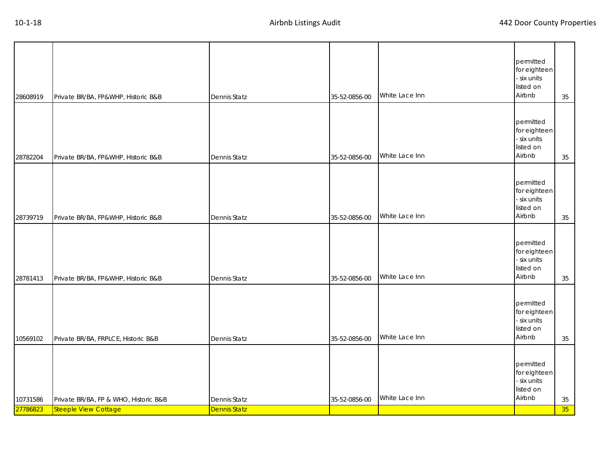| 27786823 | <b>Steeple View Cottage</b>           | <b>Dennis Statz</b> |               |                |                                                                 | 35 |
|----------|---------------------------------------|---------------------|---------------|----------------|-----------------------------------------------------------------|----|
| 10731586 | Private BR/BA, FP & WHO, Historic B&B | Dennis Statz        | 35-52-0856-00 | White Lace Inn | permitted<br>for eighteen<br>- six units<br>listed on<br>Airbnb | 35 |
| 10569102 | Private BR/BA, FRPLCE, Historic B&B   | <b>Dennis Statz</b> | 35-52-0856-00 | White Lace Inn | permitted<br>for eighteen<br>- six units<br>listed on<br>Airbnb | 35 |
| 28781413 | Private BR/BA, FP&WHP, Historic B&B   | <b>Dennis Statz</b> | 35-52-0856-00 | White Lace Inn | permitted<br>for eighteen<br>- six units<br>listed on<br>Airbnb | 35 |
| 28739719 | Private BR/BA, FP&WHP, Historic B&B   | <b>Dennis Statz</b> | 35-52-0856-00 | White Lace Inn | permitted<br>for eighteen<br>- six units<br>listed on<br>Airbnb | 35 |
| 28782204 | Private BR/BA, FP&WHP, Historic B&B   | <b>Dennis Statz</b> | 35-52-0856-00 | White Lace Inn | permitted<br>for eighteen<br>- six units<br>listed on<br>Airbnb | 35 |
| 28608919 | Private BR/BA, FP&WHP, Historic B&B   | <b>Dennis Statz</b> | 35-52-0856-00 | White Lace Inn | permitted<br>for eighteen<br>- six units<br>listed on<br>Airbnb | 35 |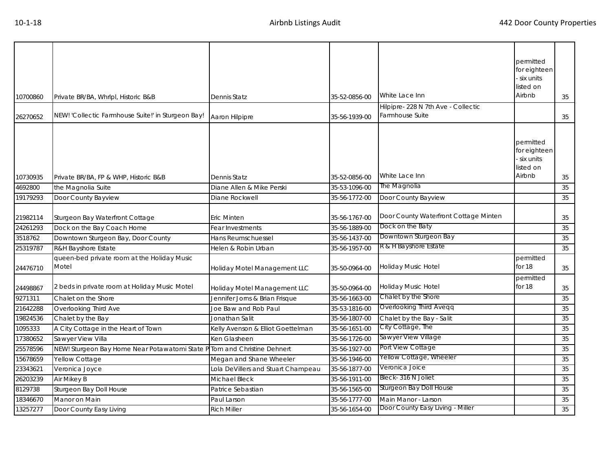| 10700860             | Private BR/BA, Whrlpl, Historic B&B                                      | Dennis Statz                       | 35-52-0856-00                  | White Lace Inn<br>Hilpipre-228 N 7th Ave - Collectic      | permitted<br>for eighteen<br>six units<br>listed on<br>Airbnb | 35       |
|----------------------|--------------------------------------------------------------------------|------------------------------------|--------------------------------|-----------------------------------------------------------|---------------------------------------------------------------|----------|
| 26270652             | NEW! 'Collectic Farmhouse Suite!' in Sturgeon Bay!                       | Aaron Hilpipre                     | 35-56-1939-00                  | Farmhouse Suite                                           |                                                               | 35       |
| 10730935             | Private BR/BA, FP & WHP, Historic B&B                                    | Dennis Statz                       | 35-52-0856-00                  | White Lace Inn                                            | permitted<br>for eighteen<br>six units<br>listed on<br>Airbnb | 35       |
| 4692800              | the Magnolia Suite                                                       | Diane Allen & Mike Perski          | 35-53-1096-00                  | The Magnolia                                              |                                                               | 35       |
| 19179293             | Door County Bayview                                                      | Diane Rockwell                     | 35-56-1772-00                  | Door County Bayview                                       |                                                               | 35       |
| 21982114<br>24261293 | Sturgeon Bay Waterfront Cottage<br>Dock on the Bay Coach Home            | Eric Minten<br>Fear Investments    | 35-56-1767-00<br>35-56-1889-00 | Door County Waterfront Cottage Minten<br>Dock on the Baty |                                                               | 35<br>35 |
| 3518762              | Downtown Sturgeon Bay, Door County                                       | Hans Reumschuessel                 | 35-56-1437-00                  | Downtown Sturgeon Bay                                     |                                                               | 35       |
| 25319787             | R&H Bayshore Estate                                                      | Helen & Robin Urban                | 35-56-1957-00                  | R & H Bayshore Estate                                     |                                                               | 35       |
| 24476710             | queen-bed private room at the Holiday Music<br>Motel                     | Holiday Motel Management LLC       | 35-50-0964-00                  | Holiday Music Hotel                                       | permitted<br>for 18                                           | 35       |
| 24498867             | 2 beds in private room at Holiday Music Motel                            | Holiday Motel Management LLC       | 35-50-0964-00                  | <b>Holiday Music Hotel</b>                                | permitted<br>for 18                                           | 35       |
| 9271311              | Chalet on the Shore                                                      | Jennifer Jorns & Brian Frisque     | 35-56-1663-00                  | Chalet by the Shore                                       |                                                               | 35       |
| 21642288             | Overlooking Third Ave                                                    | Joe Baw and Rob Paul               | 35-53-1816-00                  | Overlooking Third Aveqq                                   |                                                               | 35       |
| 19824536             | Chalet by the Bay                                                        | Jonathan Salit                     | 35-56-1807-00                  | Chalet by the Bay - Salit                                 |                                                               | 35       |
| 1095333              | A City Cottage in the Heart of Town                                      | Kelly Avenson & Elliot Goettelman  | 35-56-1651-00                  | City Cottage, The                                         |                                                               | 35       |
| 17380652             | Sawyer View Villa                                                        | Ken Glasheen                       | 35-56-1726-00                  | Sawyer View Village                                       |                                                               | 35       |
| 25578596             | NEW! Sturgeon Bay Home Near Potawatomi State P Tom and Christine Dehnert |                                    | 35-56-1927-00                  | Port View Cottage                                         |                                                               | 35       |
| 15678659             | Yellow Cottage                                                           | Megan and Shane Wheeler            | 35-56-1946-00                  | Yellow Cottage, Wheeler                                   |                                                               | 35       |
| 23343621             | Veronica Joyce                                                           | Lola DeVillers and Stuart Champeau | 35-56-1877-00                  | Veronica Joice                                            |                                                               | 35       |
| 26203239             | Air Mikey B                                                              | Michael Bleck                      | 35-56-1911-00                  | Bleck- 316 N Joliet                                       |                                                               | 35       |
| 8129738              | Sturgeon Bay Doll House                                                  | Patrice Sebastian                  | 35-56-1565-00                  | Sturgeon Bay Doll House                                   |                                                               | 35       |
| 18346670             | Manor on Main                                                            | Paul Larson                        | 35-56-1777-00                  | Main Manor - Larson                                       |                                                               | 35       |
| 13257277             | Door County Easy Living                                                  | <b>Rich Miller</b>                 | 35-56-1654-00                  | Door County Easy Living - Miller                          |                                                               | 35       |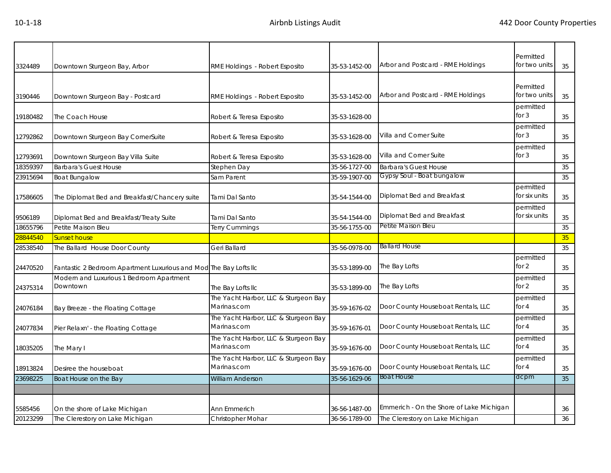| 3324489  | Downtown Sturgeon Bay, Arbor                                      | RME Holdings - Robert Esposito                      | 35-53-1452-00 | Arbor and Postcard - RME Holdings        | Permitted<br>for two units | 35 |
|----------|-------------------------------------------------------------------|-----------------------------------------------------|---------------|------------------------------------------|----------------------------|----|
| 3190446  | Downtown Sturgeon Bay - Postcard                                  | RME Holdings - Robert Esposito                      | 35-53-1452-00 | Arbor and Postcard - RME Holdings        | Permitted<br>for two units | 35 |
| 19180482 | The Coach House                                                   | Robert & Teresa Esposito                            | 35-53-1628-00 |                                          | permitted<br>for $3$       | 35 |
| 12792862 | Downtown Sturgeon Bay CornerSuite                                 | Robert & Teresa Esposito                            | 35-53-1628-00 | Villa and Corner Suite                   | permitted<br>for $3$       | 35 |
| 12793691 | Downtown Sturgeon Bay Villa Suite                                 | Robert & Teresa Esposito                            | 35-53-1628-00 | Villa and Corner Suite                   | permitted<br>for $3$       | 35 |
| 18359397 | <b>Barbara's Guest House</b>                                      | Stephen Day                                         | 35-56-1727-00 | <b>Barbara's Guest House</b>             |                            | 35 |
| 23915694 | <b>Boat Bungalow</b>                                              | Sam Parent                                          | 35-59-1907-00 | Gypsy Soul - Boat bungalow               |                            | 35 |
| 17586605 | The Diplomat Bed and Breakfast/Chancery suite                     | <b>Tami Dal Santo</b>                               | 35-54-1544-00 | Diplomat Bed and Breakfast               | permitted<br>for six units | 35 |
| 9506189  | Diplomat Bed and Breakfast/Treaty Suite                           | <b>Tami Dal Santo</b>                               | 35-54-1544-00 | Diplomat Bed and Breakfast               | permitted<br>for six units | 35 |
| 18655796 | Petite Maison Bleu                                                | Terry Cummings                                      | 35-56-1755-00 | Petite Maison Bleu                       |                            | 35 |
| 28844540 | <b>Sunset house</b>                                               |                                                     |               |                                          |                            | 35 |
| 28538540 | The Ballard House Door County                                     | Geri Ballard                                        | 35-56-0978-00 | <b>Ballard House</b>                     |                            | 35 |
| 24470520 | Fantastic 2 Bedroom Apartment Luxurious and Mod The Bay Lofts IIc |                                                     | 35-53-1899-00 | The Bay Lofts                            | permitted<br>for 2         | 35 |
| 24375314 | Modern and Luxurious 1 Bedroom Apartment<br>Downtown              | The Bay Lofts IIc                                   | 35-53-1899-00 | The Bay Lofts                            | permitted<br>for $2$       | 35 |
| 24076184 | Bay Breeze - the Floating Cottage                                 | The Yacht Harbor, LLC & Sturgeon Bay<br>Marinas.com | 35-59-1676-02 | Door County Houseboat Rentals, LLC       | permitted<br>for $4$       | 35 |
| 24077834 | Pier Relaxn' - the Floating Cottage                               | The Yacht Harbor, LLC & Sturgeon Bay<br>Marinas.com | 35-59-1676-01 | Door County Houseboat Rentals, LLC       | permitted<br>for 4         | 35 |
| 18035205 | The Mary I                                                        | The Yacht Harbor, LLC & Sturgeon Bay<br>Marinas.com | 35-59-1676-00 | Door County Houseboat Rentals, LLC       | permitted<br>for $4$       | 35 |
| 18913824 | Desiree the houseboat                                             | The Yacht Harbor, LLC & Sturgeon Bay<br>Marinas.com | 35-59-1676-00 | Door County Houseboat Rentals, LLC       | permitted<br>for 4         | 35 |
| 23698225 | Boat House on the Bay                                             | <b>William Anderson</b>                             | 35-56-1629-06 | <b>Boat House</b>                        | dcpm                       | 35 |
|          |                                                                   |                                                     |               |                                          |                            |    |
| 5585456  |                                                                   |                                                     |               | Emmerich - On the Shore of Lake Michigan |                            |    |
|          | On the shore of Lake Michigan                                     | Ann Emmerich                                        | 36-56-1487-00 |                                          |                            | 36 |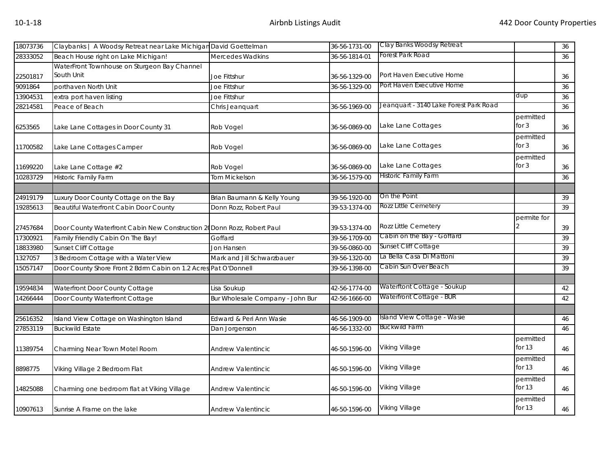| 18073736 | Claybanks   A Woodsy Retreat near Lake Michigan David Goettelman        |                                  | 36-56-1731-00 | Clay Banks Woodsy Retreat              |                       | 36     |
|----------|-------------------------------------------------------------------------|----------------------------------|---------------|----------------------------------------|-----------------------|--------|
| 28333052 | Beach House right on Lake Michigan!                                     | Mercedes Wadkins                 | 36-56-1814-01 | Forest Park Road                       |                       | 36     |
|          | WaterFront Townhouse on Sturgeon Bay Channel                            |                                  |               |                                        |                       |        |
| 22501817 | South Unit                                                              | Joe Fittshur                     | 36-56-1329-00 | Port Haven Executive Home              |                       | 36     |
| 9091864  | porthaven North Unit                                                    | Joe Fittshur                     | 36-56-1329-00 | Port Haven Executive Home              |                       | 36     |
| 13904531 | extra port haven listing                                                | Joe Fittshur                     |               |                                        | dup                   | 36     |
| 28214581 | Peace of Beach                                                          | Chris Jeanquart                  | 36-56-1969-00 | Jeanquart - 3140 Lake Forest Park Road |                       | 36     |
| 6253565  | Lake Lane Cottages in Door County 31                                    | Rob Vogel                        | 36-56-0869-00 | Lake Lane Cottages                     | permitted<br>for $3$  | 36     |
| 11700582 | Lake Lane Cottages Camper                                               | Rob Vogel                        | 36-56-0869-00 | Lake Lane Cottages                     | permitted<br>for $3$  | 36     |
| 11699220 | Lake Lane Cottage #2                                                    | Rob Vogel                        | 36-56-0869-00 | Lake Lane Cottages                     | permitted<br>for $3$  | 36     |
| 10283729 | <b>Historic Family Farm</b>                                             | Tom Mickelson                    | 36-56-1579-00 | Historic Family Farm                   |                       | 36     |
|          |                                                                         |                                  |               |                                        |                       |        |
| 24919179 | Luxury Door County Cottage on the Bay                                   | Brian Baumann & Kelly Young      | 39-56-1920-00 | On the Point                           |                       | 39     |
| 19285613 | Beautiful Waterfront Cabin Door County                                  | Donn Rozz, Robert Paul           | 39-53-1374-00 | <b>Rozz Little Cemetery</b>            |                       | 39     |
| 27457684 | Door County Waterfront Cabin New Construction 20 Donn Rozz, Robert Paul |                                  | 39-53-1374-00 | Rozz Little Cemetery                   | permite for           | 39     |
| 17300921 | Family Friendly Cabin On The Bay!                                       | Goffard                          | 39-56-1709-00 | Cabin on the Bay - Goffard             |                       | 39     |
| 18833980 | Sunset Cliff Cottage                                                    | Jon Hansen                       | 39-56-0860-00 | Sunset Cliff Cottage                   |                       | 39     |
| 1327057  | 3 Bedroom Cottage with a Water View                                     | Mark and Jill Schwarzbauer       | 39-56-1320-00 | La Bella Casa Di Mattoni               |                       | 39     |
| 15057147 | Door County Shore Front 2 Bdrm Cabin on 1.2 Acres Pat O'Donnell         |                                  | 39-56-1398-00 | Cabin Sun Over Beach                   |                       | 39     |
| 19594834 | Waterfront Door County Cottage                                          | Lisa Soukup                      | 42-56-1774-00 | Waterftont Cottage - Soukup            |                       | 42     |
| 14266444 | Door County Waterfront Cottage                                          | Bur Wholesale Company - John Bur | 42-56-1666-00 | Waterfront Cottage - BUR               |                       | 42     |
| 25616352 | Island View Cottage on Washington Island                                | Edward & Peri Ann Wasie          | 46-56-1909-00 | Island View Cottage - Wasie            |                       | 46     |
| 27853119 | <b>Buckwild Estate</b>                                                  | Dan Jorgenson                    | 46-56-1332-00 | Buckwild Farm                          |                       | 46     |
| 11389754 | Charming Near Town Motel Room                                           | Andrew Valentincic               | 46-50-1596-00 | Viking Village                         | permitted<br>for $13$ | $46\,$ |
| 8898775  | Viking Village 2 Bedroom Flat                                           | Andrew Valentincic               | 46-50-1596-00 | Viking Village                         | permitted<br>for $13$ | 46     |
| 14825088 | Charming one bedroom flat at Viking Village                             | Andrew Valentincic               | 46-50-1596-00 | Viking Village                         | permitted<br>for $13$ | 46     |
| 10907613 | Sunrise A Frame on the lake                                             | <b>Andrew Valentincic</b>        | 46-50-1596-00 | <b>Viking Village</b>                  | permitted<br>for $13$ | 46     |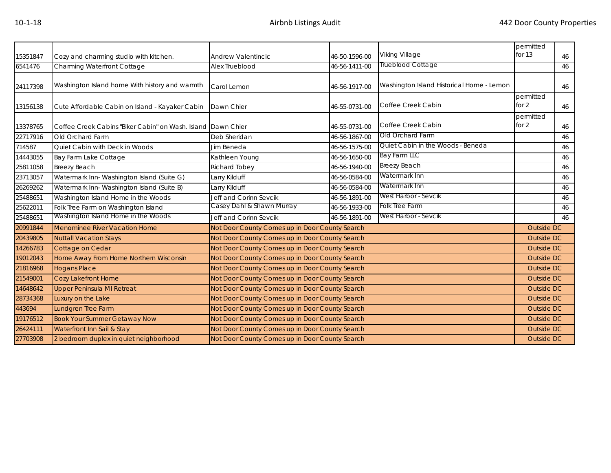|          |                                                              |                                                |                                                | permitted                                 |                    |    |  |  |
|----------|--------------------------------------------------------------|------------------------------------------------|------------------------------------------------|-------------------------------------------|--------------------|----|--|--|
| 15351847 | Cozy and charming studio with kitchen.                       | Andrew Valentincic                             | 46-50-1596-00                                  | Viking Village                            | for 13<br>46       |    |  |  |
| 6541476  | Charming Waterfront Cottage                                  | Alex Trueblood                                 | 46-56-1411-00                                  | Trueblood Cottage                         | 46                 |    |  |  |
|          | Washington Island home With history and warmth               |                                                |                                                | Washington Island Historical Home - Lemon |                    |    |  |  |
| 24117398 |                                                              | Carol Lemon                                    | 46-56-1917-00                                  |                                           |                    | 46 |  |  |
| 13156138 | Cute Affordable Cabin on Island - Kayaker Cabin              | Dawn Chier                                     | 46-55-0731-00                                  | Coffee Creek Cabin                        | permitted<br>for 2 |    |  |  |
|          |                                                              |                                                |                                                |                                           | permitted          | 46 |  |  |
| 13378765 | Coffee Creek Cabins "Biker Cabin" on Wash. Island Dawn Chier |                                                | 46-55-0731-00                                  | Coffee Creek Cabin                        | for 2              | 46 |  |  |
| 22717916 | Old Orchard Farm                                             | Deb Sheridan                                   | 46-56-1867-00                                  | Old Orchard Farm                          |                    | 46 |  |  |
| 714587   | Quiet Cabin with Deck in Woods                               | Jim Beneda                                     | 46-56-1575-00                                  | Quiet Cabin in the Woods - Beneda         | 46                 |    |  |  |
| 14443055 | Bay Farm Lake Cottage                                        | Kathleen Young                                 | 46-56-1650-00                                  | Bay Farm LLC                              | 46                 |    |  |  |
| 25811058 | <b>Breezy Beach</b>                                          | Richard Tobey                                  | 46-56-1940-00                                  | <b>Breezy Beach</b>                       | 46                 |    |  |  |
| 23713057 | Watermark Inn-Washington Island (Suite G)                    | Larry Kilduff                                  | 46-56-0584-00                                  | Watermark Inn                             |                    | 46 |  |  |
| 26269262 | Watermark Inn-Washington Island (Suite B)                    | Larry Kilduff                                  | 46-56-0584-00                                  | Watermark Inn                             |                    | 46 |  |  |
| 25488651 | Washington Island Home in the Woods                          | Jeff and Corinn Sevcik                         | 46-56-1891-00                                  | West Harbor - Sevcik                      |                    | 46 |  |  |
| 25622011 | Folk Tree Farm on Washington Island                          | Casey Dahl & Shawn Murray                      | 46-56-1933-00                                  | Folk Tree Farm                            |                    | 46 |  |  |
| 25488651 | Washington Island Home in the Woods                          | Jeff and Corinn Sevcik                         | 46-56-1891-00                                  | West Harbor - Sevcik                      |                    | 46 |  |  |
| 20991844 | Menominee River Vacation Home                                | Not Door County Comes up in Door County Search |                                                |                                           | Outside DC         |    |  |  |
| 20439805 | <b>Nuttall Vacation Stays</b>                                | Not Door County Comes up in Door County Search |                                                |                                           | Outside DC         |    |  |  |
| 14266783 | Cottage on Cedar                                             | Not Door County Comes up in Door County Search |                                                |                                           | Outside DC         |    |  |  |
| 19012043 | Home Away From Home Northern Wisconsin                       | Not Door County Comes up in Door County Search |                                                |                                           | <b>Outside DC</b>  |    |  |  |
| 21816968 | <b>Hogans Place</b>                                          | Not Door County Comes up in Door County Search |                                                |                                           | <b>Outside DC</b>  |    |  |  |
| 21549001 | <b>Cozy Lakefront Home</b>                                   | Not Door County Comes up in Door County Search |                                                |                                           | Outside DC         |    |  |  |
| 14648642 | <b>Upper Peninsula MI Retreat</b>                            | Not Door County Comes up in Door County Search |                                                |                                           | Outside DC         |    |  |  |
| 28734368 | Luxury on the Lake                                           | Not Door County Comes up in Door County Search |                                                |                                           | Outside DC         |    |  |  |
| 443694   | Lundgren Tree Farm                                           |                                                | Not Door County Comes up in Door County Search |                                           |                    |    |  |  |
| 19176512 | <b>Book Your Summer Getaway Now</b>                          | Not Door County Comes up in Door County Search |                                                |                                           | Outside DC         |    |  |  |
| 26424111 | Waterfront Inn Sail & Stay                                   | Not Door County Comes up in Door County Search |                                                |                                           | Outside DC         |    |  |  |
| 27703908 | 2 bedroom duplex in quiet neighborhood                       | Not Door County Comes up in Door County Search | Outside DC                                     |                                           |                    |    |  |  |